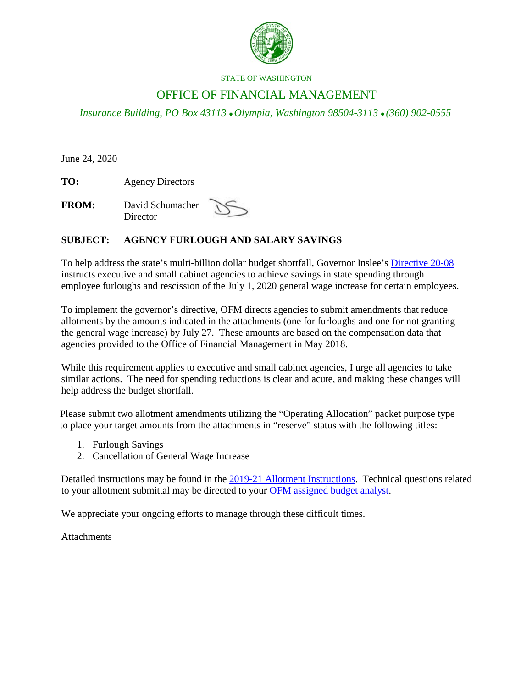

#### STATE OF WASHINGTON

## OFFICE OF FINANCIAL MANAGEMENT

*Insurance Building, PO Box 43113 Olympia, Washington 98504-3113 (360) 902-0555*

June 24, 2020

**TO:** Agency Directors

**FROM:** David Schumacher **Director** 



#### **SUBJECT: AGENCY FURLOUGH AND SALARY SAVINGS**

To help address the state's multi-billion dollar budget shortfall, Governor Inslee's [Directive 20-08](https://www.governor.wa.gov/sites/default/files/directive/20-08%20Furloughs%20and%20General%20Wage%20Increases%20%28tmp%29.pdf) instructs executive and small cabinet agencies to achieve savings in state spending through employee furloughs and rescission of the July 1, 2020 general wage increase for certain employees.

To implement the governor's directive, OFM directs agencies to submit amendments that reduce allotments by the amounts indicated in the attachments (one for furloughs and one for not granting the general wage increase) by July 27. These amounts are based on the compensation data that agencies provided to the Office of Financial Management in May 2018.

While this requirement applies to executive and small cabinet agencies, I urge all agencies to take similar actions. The need for spending reductions is clear and acute, and making these changes will help address the budget shortfall.

Please submit two allotment amendments utilizing the "Operating Allocation" packet purpose type to place your target amounts from the attachments in "reserve" status with the following titles:

- 1. Furlough Savings
- 2. Cancellation of General Wage Increase

Detailed instructions may be found in the [2019-21 Allotment Instructions.](https://www.ofm.wa.gov/sites/default/files/public/budget/instructions/other/2019-21AllotInsts.pdf) Technical questions related to your allotment submittal may be directed to your [OFM assigned budget analyst.](https://www.ofm.wa.gov/budget/budget-staff-agency-assignments)

We appreciate your ongoing efforts to manage through these difficult times.

**Attachments**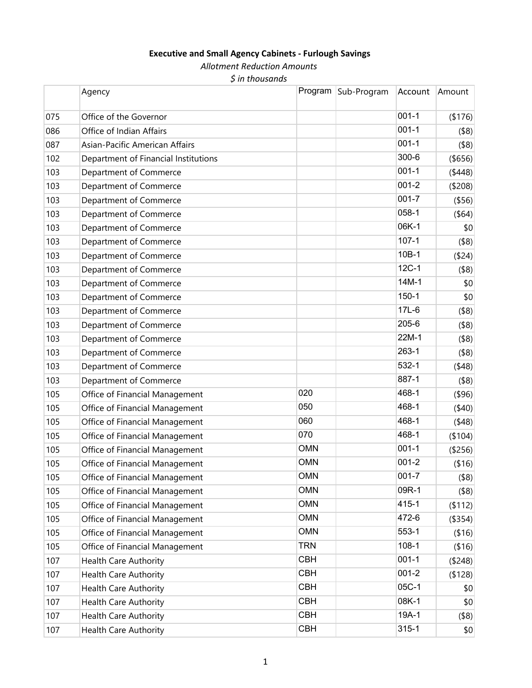## **Executive and Small Agency Cabinets ‐ Furlough Savings**

*Allotment Reduction Amounts*

*\$ in thousands*

|     | Agency                               |            | Program   Sub-Program | Account   | Amount         |
|-----|--------------------------------------|------------|-----------------------|-----------|----------------|
| 075 | Office of the Governor               |            |                       | $001 - 1$ | (\$176)        |
| 086 | Office of Indian Affairs             |            |                       | $001 - 1$ | $($ \$8)       |
| 087 | Asian-Pacific American Affairs       |            |                       | $001 - 1$ | $($ \$8)       |
| 102 | Department of Financial Institutions |            |                       | 300-6     | (\$656)        |
| 103 | Department of Commerce               |            |                       | $001 - 1$ | (448)          |
| 103 | Department of Commerce               |            |                       | $001 - 2$ | (\$208)        |
| 103 | Department of Commerce               |            |                       | $001 - 7$ | ( \$56)        |
| 103 | Department of Commerce               |            |                       | 058-1     | $($ \$64)      |
| 103 | Department of Commerce               |            |                       | 06K-1     | \$0            |
| 103 | Department of Commerce               |            |                       | $107 - 1$ | $($ \$8)       |
| 103 | Department of Commerce               |            |                       | 10B-1     | (\$24)         |
| 103 | Department of Commerce               |            |                       | $12C-1$   | $($ \$8)       |
| 103 | Department of Commerce               |            |                       | 14M-1     | \$0            |
| 103 | Department of Commerce               |            |                       | $150 - 1$ | \$0            |
| 103 | Department of Commerce               |            |                       | 17L-6     | $($ \$8)       |
| 103 | Department of Commerce               |            |                       | 205-6     | $($ \$8)       |
| 103 | Department of Commerce               |            |                       | 22M-1     | $($ \$8)       |
| 103 | Department of Commerce               |            |                       | 263-1     | $($ \$8)       |
| 103 | Department of Commerce               |            |                       | 532-1     | (48)           |
| 103 | Department of Commerce               |            |                       | 887-1     | $($ \$8)       |
| 105 | Office of Financial Management       | 020        |                       | 468-1     | $($ \$96)      |
| 105 | Office of Financial Management       | 050        |                       | 468-1     | (40)           |
| 105 | Office of Financial Management       | 060        |                       | 468-1     | (48)           |
| 105 | Office of Financial Management       | 070        |                       | 468-1     | (\$104)        |
| 105 | Office of Financial Management       | <b>OMN</b> |                       | $001 - 1$ | (\$256)        |
| 105 | Office of Financial Management       | <b>OMN</b> |                       | $001 - 2$ | ( \$16)        |
| 105 | Office of Financial Management       | <b>OMN</b> |                       | $001 - 7$ | $($ \$8) $ $   |
| 105 | Office of Financial Management       | <b>OMN</b> |                       | 09R-1     | $($ \$8)       |
| 105 | Office of Financial Management       | <b>OMN</b> |                       | 415-1     | (\$112)        |
| 105 | Office of Financial Management       | <b>OMN</b> |                       | 472-6     | $($ \$354) $ $ |
| 105 | Office of Financial Management       | <b>OMN</b> |                       | 553-1     | ( \$16)        |
| 105 | Office of Financial Management       | <b>TRN</b> |                       | $108-1$   | ( \$16)        |
| 107 | <b>Health Care Authority</b>         | <b>CBH</b> |                       | $001 - 1$ | ( \$248)       |
| 107 | <b>Health Care Authority</b>         | <b>CBH</b> |                       | $001 - 2$ | ( \$128)       |
| 107 | <b>Health Care Authority</b>         | <b>CBH</b> |                       | 05C-1     | \$0            |
| 107 | Health Care Authority                | <b>CBH</b> |                       | 08K-1     | \$0            |
| 107 | <b>Health Care Authority</b>         | <b>CBH</b> |                       | 19A-1     | $($ \$8)       |
| 107 | <b>Health Care Authority</b>         | <b>CBH</b> |                       | $315 - 1$ | \$0            |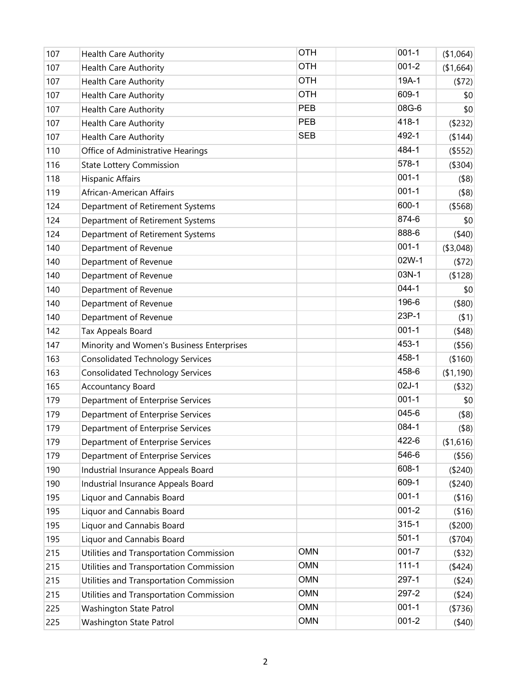| 107 | <b>Health Care Authority</b>              | <b>OTH</b> | $001 - 1$ | (\$1,064)     |
|-----|-------------------------------------------|------------|-----------|---------------|
| 107 | <b>Health Care Authority</b>              | <b>OTH</b> | $001 - 2$ | (\$1,664)     |
| 107 | <b>Health Care Authority</b>              | <b>OTH</b> | 19A-1     | (572)         |
| 107 | <b>Health Care Authority</b>              | <b>OTH</b> | 609-1     | \$0           |
| 107 | <b>Health Care Authority</b>              | PEB        | 08G-6     | \$0           |
| 107 | <b>Health Care Authority</b>              | <b>PEB</b> | 418-1     | (\$232)       |
| 107 | <b>Health Care Authority</b>              | <b>SEB</b> | 492-1     | (\$144)       |
| 110 | Office of Administrative Hearings         |            | 484-1     | (\$552)       |
| 116 | <b>State Lottery Commission</b>           |            | 578-1     | (\$304)       |
| 118 | <b>Hispanic Affairs</b>                   |            | $001 - 1$ | $($ \$8)      |
| 119 | African-American Affairs                  |            | $001 - 1$ | (\$8)         |
| 124 | Department of Retirement Systems          |            | 600-1     | (\$568)       |
| 124 | Department of Retirement Systems          |            | 874-6     | \$0           |
| 124 | Department of Retirement Systems          |            | 888-6     | (40)          |
| 140 | Department of Revenue                     |            | $001 - 1$ | ( \$3,048)    |
| 140 | Department of Revenue                     |            | 02W-1     | (572)         |
| 140 | Department of Revenue                     |            | 03N-1     | (\$128)       |
| 140 | Department of Revenue                     |            | $044 - 1$ | \$0           |
| 140 | Department of Revenue                     |            | 196-6     | (\$80)        |
| 140 | Department of Revenue                     |            | 23P-1     | $($ \$1)      |
| 142 | Tax Appeals Board                         |            | $001 - 1$ | (48)          |
| 147 | Minority and Women's Business Enterprises |            | 453-1     | ( \$56)       |
| 163 | <b>Consolidated Technology Services</b>   |            | 458-1     | (\$160)       |
| 163 | <b>Consolidated Technology Services</b>   |            | 458-6     | (\$1,190)     |
| 165 | Accountancy Board                         |            | $02J-1$   | (\$32)        |
| 179 | Department of Enterprise Services         |            | $001 - 1$ | \$0           |
| 179 | Department of Enterprise Services         |            | 045-6     | $($ \$8)      |
| 179 | Department of Enterprise Services         |            | 084-1     | $($ \$8)      |
| 179 | Department of Enterprise Services         |            | 422-6     | (\$1,616)     |
| 179 | Department of Enterprise Services         |            | 546-6     | ( \$56)       |
| 190 | Industrial Insurance Appeals Board        |            | 608-1     | ( \$240)      |
| 190 | Industrial Insurance Appeals Board        |            | 609-1     | ( \$240)      |
| 195 | Liquor and Cannabis Board                 |            | $001 - 1$ | ( \$16)       |
| 195 | Liquor and Cannabis Board                 |            | $001 - 2$ | ( \$16)       |
| 195 | Liquor and Cannabis Board                 |            | $315 - 1$ | (\$200)       |
| 195 | Liquor and Cannabis Board                 |            | $501 - 1$ | (\$704)       |
| 215 | Utilities and Transportation Commission   | <b>OMN</b> | $001 - 7$ | $($ \$32) $ $ |
| 215 | Utilities and Transportation Commission   | <b>OMN</b> | $111 - 1$ | (424)         |
| 215 | Utilities and Transportation Commission   | <b>OMN</b> | 297-1     | ( \$24)       |
| 215 | Utilities and Transportation Commission   | <b>OMN</b> | 297-2     | ( \$24)       |
| 225 | Washington State Patrol                   | <b>OMN</b> | $001 - 1$ | ( \$736)      |
| 225 | Washington State Patrol                   | <b>OMN</b> | $001 - 2$ | (40)          |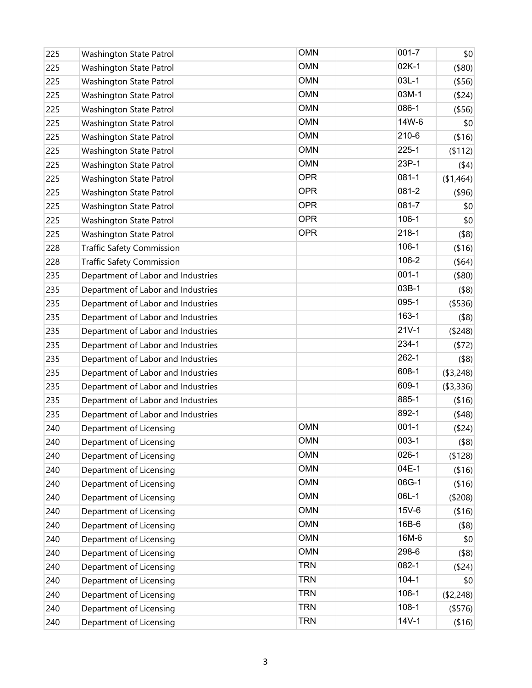| 225 | Washington State Patrol            | <b>OMN</b> | $001 - 7$ | \$0            |
|-----|------------------------------------|------------|-----------|----------------|
| 225 | Washington State Patrol            | <b>OMN</b> | $02K-1$   | (\$80)         |
| 225 | Washington State Patrol            | <b>OMN</b> | $03L-1$   | ( \$56)        |
| 225 | Washington State Patrol            | <b>OMN</b> | 03M-1     | ( \$24)        |
| 225 | Washington State Patrol            | <b>OMN</b> | 086-1     | ( \$56)        |
| 225 | Washington State Patrol            | <b>OMN</b> | 14W-6     | \$0            |
| 225 | Washington State Patrol            | <b>OMN</b> | 210-6     | ( \$16)        |
| 225 | Washington State Patrol            | <b>OMN</b> | $225 - 1$ | (112)          |
| 225 | Washington State Patrol            | <b>OMN</b> | 23P-1     | (44)           |
| 225 | Washington State Patrol            | <b>OPR</b> | $081 - 1$ | (\$1,464)      |
| 225 | Washington State Patrol            | <b>OPR</b> | 081-2     | (\$96)         |
| 225 | Washington State Patrol            | <b>OPR</b> | 081-7     | \$0            |
| 225 | <b>Washington State Patrol</b>     | <b>OPR</b> | $106-1$   | \$0            |
| 225 | Washington State Patrol            | <b>OPR</b> | $218 - 1$ | (\$8)          |
| 228 | <b>Traffic Safety Commission</b>   |            | $106-1$   | ( \$16)        |
| 228 | <b>Traffic Safety Commission</b>   |            | 106-2     | $($ \$64)      |
| 235 | Department of Labor and Industries |            | $001 - 1$ | $($ \$80)      |
| 235 | Department of Labor and Industries |            | 03B-1     | $($ \$8)       |
| 235 | Department of Labor and Industries |            | 095-1     | (\$536)        |
| 235 | Department of Labor and Industries |            | 163-1     | $($ \$8)       |
| 235 | Department of Labor and Industries |            | $21V-1$   | (\$248)        |
| 235 | Department of Labor and Industries |            | 234-1     | (572)          |
| 235 | Department of Labor and Industries |            | $262 - 1$ | $($ \$8)       |
| 235 | Department of Labor and Industries |            | 608-1     | ( \$3,248)     |
| 235 | Department of Labor and Industries |            | 609-1     | ( \$3,336)     |
| 235 | Department of Labor and Industries |            | 885-1     | ( \$16)        |
| 235 | Department of Labor and Industries |            | 892-1     | (48)           |
| 240 | Department of Licensing            | <b>OMN</b> | $001 - 1$ | ( \$24)        |
| 240 | Department of Licensing            | <b>OMN</b> | $003-1$   | $($ \$8) $ $   |
| 240 | Department of Licensing            | <b>OMN</b> | $026-1$   | (\$128)        |
| 240 | Department of Licensing            | <b>OMN</b> | 04E-1     | ( \$16)        |
| 240 | Department of Licensing            | <b>OMN</b> | 06G-1     | ( \$16]        |
| 240 | Department of Licensing            | <b>OMN</b> | 06L-1     | (\$208)        |
| 240 | Department of Licensing            | <b>OMN</b> | 15V-6     | ( \$16)        |
| 240 | Department of Licensing            | <b>OMN</b> | 16B-6     | $($ \$8)       |
| 240 | Department of Licensing            | <b>OMN</b> | 16M-6     | \$0            |
| 240 | Department of Licensing            | <b>OMN</b> | 298-6     | $($ \$8)       |
| 240 | Department of Licensing            | <b>TRN</b> | 082-1     | ( \$24)        |
| 240 | Department of Licensing            | <b>TRN</b> | $104 - 1$ | \$0            |
| 240 | Department of Licensing            | <b>TRN</b> | $106-1$   | (\$2,248)      |
| 240 | Department of Licensing            | <b>TRN</b> | $108-1$   | $($ \$576) $ $ |
| 240 | Department of Licensing            | <b>TRN</b> | $14V-1$   | ( \$16)        |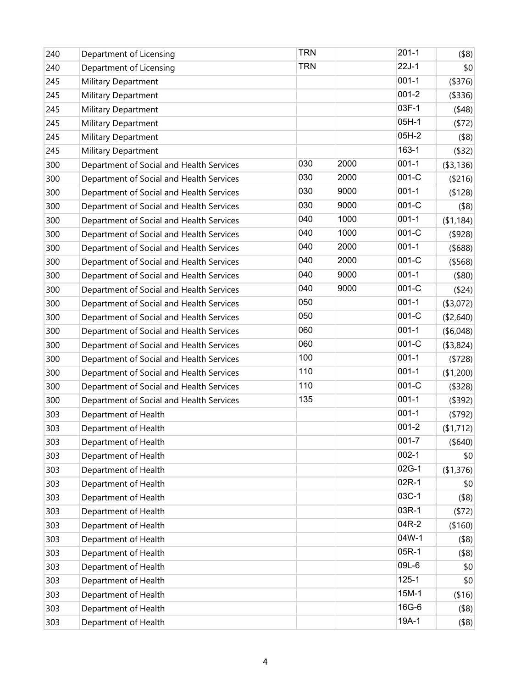| 240 | Department of Licensing                  | <b>TRN</b> |      | $201 - 1$ | $($ \$8) $ $   |
|-----|------------------------------------------|------------|------|-----------|----------------|
| 240 | Department of Licensing                  | <b>TRN</b> |      | $22J-1$   | \$0            |
| 245 | Military Department                      |            |      | $001 - 1$ | (\$376)        |
| 245 | <b>Military Department</b>               |            |      | $001 - 2$ | (3336)         |
| 245 | Military Department                      |            |      | 03F-1     | (48)           |
| 245 | <b>Military Department</b>               |            |      | $05H-1$   | (572)          |
| 245 | <b>Military Department</b>               |            |      | 05H-2     | $($ \$8)       |
| 245 | Military Department                      |            |      | 163-1     | $($ \$32)      |
| 300 | Department of Social and Health Services | 030        | 2000 | $001 - 1$ | ( \$3,136)     |
| 300 | Department of Social and Health Services | 030        | 2000 | $001-C$   | ( \$216)       |
| 300 | Department of Social and Health Services | 030        | 9000 | $001 - 1$ | ( \$128)       |
| 300 | Department of Social and Health Services | 030        | 9000 | $001-C$   | $($ \$8)       |
| 300 | Department of Social and Health Services | 040        | 1000 | $001 - 1$ | (\$1,184)      |
| 300 | Department of Social and Health Services | 040        | 1000 | 001-C     | $($ \$928) $ $ |
| 300 | Department of Social and Health Services | 040        | 2000 | $001 - 1$ | $($ \$688)     |
| 300 | Department of Social and Health Services | 040        | 2000 | 001-C     | ( \$568)       |
| 300 | Department of Social and Health Services | 040        | 9000 | $001 - 1$ | $($ \$80)      |
| 300 | Department of Social and Health Services | 040        | 9000 | $001-C$   | ( \$24)        |
| 300 | Department of Social and Health Services | 050        |      | $001 - 1$ | ( \$3,072)     |
| 300 | Department of Social and Health Services | 050        |      | 001-C     | ( \$2,640)     |
| 300 | Department of Social and Health Services | 060        |      | $001 - 1$ | ( \$6,048)     |
| 300 | Department of Social and Health Services | 060        |      | 001-C     | ( \$3,824)     |
| 300 | Department of Social and Health Services | 100        |      | $001 - 1$ | ( \$728)       |
| 300 | Department of Social and Health Services | 110        |      | $001 - 1$ | (\$1,200)      |
| 300 | Department of Social and Health Services | 110        |      | 001-C     | ( \$328)       |
| 300 | Department of Social and Health Services | 135        |      | $001 - 1$ | (\$392)        |
| 303 | Department of Health                     |            |      | $001 - 1$ | (5792)         |
| 303 | Department of Health                     |            |      | $001 - 2$ | (\$1,712)      |
| 303 | Department of Health                     |            |      | $001 - 7$ | (\$640)        |
| 303 | Department of Health                     |            |      | $002 - 1$ | \$0            |
| 303 | Department of Health                     |            |      | 02G-1     | (\$1,376)      |
| 303 | Department of Health                     |            |      | 02R-1     | \$0            |
| 303 | Department of Health                     |            |      | 03C-1     | $($ \$8)       |
| 303 | Department of Health                     |            |      | 03R-1     | (572)          |
| 303 | Department of Health                     |            |      | 04R-2     | (\$160)        |
| 303 | Department of Health                     |            |      | 04W-1     | $($ \$8)       |
| 303 | Department of Health                     |            |      | 05R-1     | $($ \$8)       |
| 303 | Department of Health                     |            |      | 09L-6     | \$0            |
| 303 | Department of Health                     |            |      | $125 - 1$ | \$0            |
| 303 | Department of Health                     |            |      | 15M-1     | ( \$16)        |
| 303 | Department of Health                     |            |      | 16G-6     | $($ \$8) $ $   |
| 303 | Department of Health                     |            |      | 19A-1     | $($ \$8) $ $   |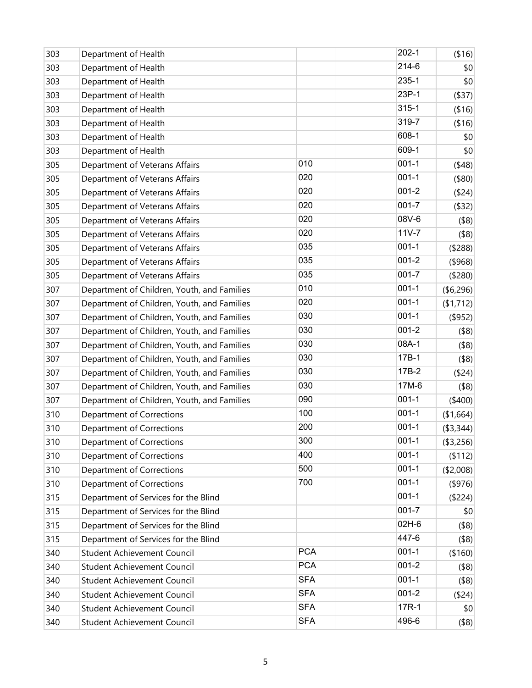| 303 | Department of Health                        |            | $202 - 1$ | ( \$16)      |
|-----|---------------------------------------------|------------|-----------|--------------|
| 303 | Department of Health                        |            | 214-6     | \$0          |
| 303 | Department of Health                        |            | 235-1     | \$0          |
| 303 | Department of Health                        |            | 23P-1     | ( \$37)      |
| 303 | Department of Health                        |            | $315 - 1$ | ( \$16)      |
| 303 | Department of Health                        |            | 319-7     | (\$16)       |
| 303 | Department of Health                        |            | 608-1     | \$0          |
| 303 | Department of Health                        |            | 609-1     | \$0          |
| 305 | Department of Veterans Affairs              | 010        | $001 - 1$ | (48)         |
| 305 | Department of Veterans Affairs              | 020        | $001 - 1$ | $($ \$80)    |
| 305 | Department of Veterans Affairs              | 020        | $001 - 2$ | ( \$24)      |
| 305 | Department of Veterans Affairs              | 020        | $001 - 7$ | ( \$32)      |
| 305 | Department of Veterans Affairs              | 020        | 08V-6     | $($ \$8) $ $ |
| 305 | Department of Veterans Affairs              | 020        | $11V - 7$ | $($ \$8) $ $ |
| 305 | Department of Veterans Affairs              | 035        | $001 - 1$ | ( \$288)     |
| 305 | Department of Veterans Affairs              | 035        | $001 - 2$ | $($ \$968)   |
| 305 | Department of Veterans Affairs              | 035        | $001 - 7$ | (\$280)      |
| 307 | Department of Children, Youth, and Families | 010        | $001 - 1$ | (\$6,296)    |
| 307 | Department of Children, Youth, and Families | 020        | $001 - 1$ | (\$1,712)    |
| 307 | Department of Children, Youth, and Families | 030        | $001 - 1$ | (\$952)      |
| 307 | Department of Children, Youth, and Families | 030        | $001 - 2$ | $($ \$8)     |
| 307 | Department of Children, Youth, and Families | 030        | 08A-1     | $($ \$8)     |
| 307 | Department of Children, Youth, and Families | 030        | 17B-1     | $($ \$8) $ $ |
| 307 | Department of Children, Youth, and Families | 030        | 17B-2     | (\$24)       |
| 307 | Department of Children, Youth, and Families | 030        | 17M-6     | $($ \$8)     |
| 307 | Department of Children, Youth, and Families | 090        | $001 - 1$ | (\$400)      |
| 310 | Department of Corrections                   | 100        | $001 - 1$ | (\$1,664)    |
| 310 | Department of Corrections                   | 200        | $001 - 1$ | ( \$3,344)   |
| 310 | Department of Corrections                   | 300        | $001 - 1$ | ( \$3,256)   |
| 310 | Department of Corrections                   | 400        | $001 - 1$ | (\$112)      |
| 310 | Department of Corrections                   | 500        | $001 - 1$ | ( \$2,008)   |
| 310 | Department of Corrections                   | 700        | $001 - 1$ | $($ \$976)   |
| 315 | Department of Services for the Blind        |            | $001 - 1$ | (\$224)      |
| 315 | Department of Services for the Blind        |            | $001 - 7$ | \$0          |
| 315 | Department of Services for the Blind        |            | 02H-6     | $($ \$8)     |
| 315 | Department of Services for the Blind        |            | 447-6     | $($ \$8)     |
| 340 | <b>Student Achievement Council</b>          | <b>PCA</b> | $001 - 1$ | (\$160)      |
| 340 | <b>Student Achievement Council</b>          | <b>PCA</b> | $001 - 2$ | $($ \$8) $ $ |
| 340 | Student Achievement Council                 | <b>SFA</b> | $001 - 1$ | $($ \$8)     |
| 340 | <b>Student Achievement Council</b>          | <b>SFA</b> | $001 - 2$ | (\$24)       |
| 340 | Student Achievement Council                 | <b>SFA</b> | 17R-1     | \$0          |
| 340 | Student Achievement Council                 | <b>SFA</b> | 496-6     | $($ \$8) $ $ |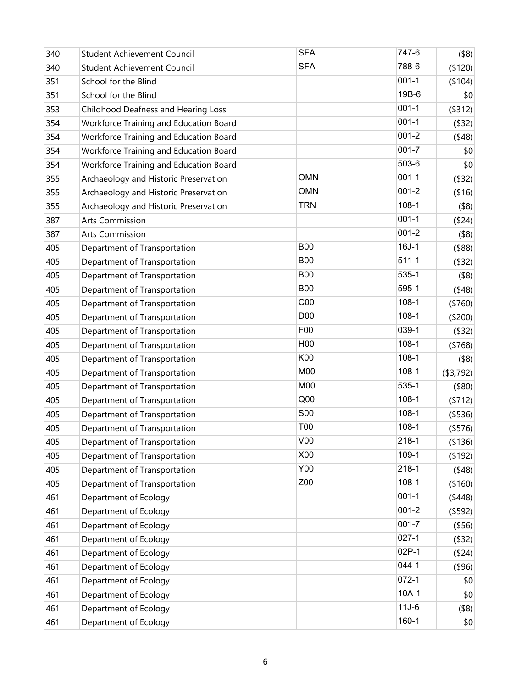| 340 | Student Achievement Council            | <b>SFA</b>      | 747-6     | $($ \$8) $ $   |
|-----|----------------------------------------|-----------------|-----------|----------------|
| 340 | <b>Student Achievement Council</b>     | <b>SFA</b>      | 788-6     | (\$120)        |
| 351 | School for the Blind                   |                 | $001 - 1$ | (\$104)        |
| 351 | School for the Blind                   |                 | 19B-6     | \$0            |
| 353 | Childhood Deafness and Hearing Loss    |                 | $001 - 1$ | ( \$312)       |
| 354 | Workforce Training and Education Board |                 | $001 - 1$ | $($ \$32)      |
| 354 | Workforce Training and Education Board |                 | $001 - 2$ | (48)           |
| 354 | Workforce Training and Education Board |                 | $001 - 7$ | \$0            |
| 354 | Workforce Training and Education Board |                 | 503-6     | \$0            |
| 355 | Archaeology and Historic Preservation  | <b>OMN</b>      | $001 - 1$ | ( \$32)        |
| 355 | Archaeology and Historic Preservation  | <b>OMN</b>      | $001 - 2$ | ( \$16)        |
| 355 | Archaeology and Historic Preservation  | <b>TRN</b>      | $108-1$   | $($ \$8)       |
| 387 | <b>Arts Commission</b>                 |                 | $001 - 1$ | ( \$24)        |
| 387 | <b>Arts Commission</b>                 |                 | $001 - 2$ | $($ \$8)       |
| 405 | Department of Transportation           | <b>B00</b>      | $16J-1$   | (\$88)         |
| 405 | Department of Transportation           | <b>B00</b>      | $511 - 1$ | $($ \$32)      |
| 405 | Department of Transportation           | <b>B00</b>      | 535-1     | $($ \$8)       |
| 405 | Department of Transportation           | <b>B00</b>      | 595-1     | (48)           |
| 405 | Department of Transportation           | C <sub>00</sub> | $108-1$   | (\$760)        |
| 405 | Department of Transportation           | D <sub>00</sub> | $108-1$   | (\$200)        |
| 405 | Department of Transportation           | F00             | 039-1     | ( \$32)        |
| 405 | Department of Transportation           | H <sub>00</sub> | $108-1$   | ( \$768)       |
| 405 | Department of Transportation           | K00             | $108-1$   | $($ \$8)       |
| 405 | Department of Transportation           | M00             | $108-1$   | ( \$3,792)     |
| 405 | Department of Transportation           | M00             | 535-1     | $($ \$80)      |
| 405 | Department of Transportation           | Q <sub>00</sub> | $108-1$   | (5712)         |
| 405 | Department of Transportation           | <b>S00</b>      | $108-1$   | ( \$536)       |
| 405 | Department of Transportation           | <b>T00</b>      | $108-1$   | (\$576)        |
| 405 | Department of Transportation           | V <sub>00</sub> | $218 - 1$ | ( \$136)       |
| 405 | Department of Transportation           | X00             | 109-1     | $($ \$192) $ $ |
| 405 | Department of Transportation           | Y00             | $218 - 1$ | (48)           |
| 405 | Department of Transportation           | Z00             | $108-1$   | (\$160)        |
| 461 | Department of Ecology                  |                 | $001 - 1$ | (448)          |
| 461 | Department of Ecology                  |                 | $001 - 2$ | $($ \$592)     |
| 461 | Department of Ecology                  |                 | $001 - 7$ | ( \$56)        |
| 461 | Department of Ecology                  |                 | $027 - 1$ | $($ \$32)      |
| 461 | Department of Ecology                  |                 | 02P-1     | ( \$24)        |
| 461 | Department of Ecology                  |                 | 044-1     | (\$96)         |
| 461 | Department of Ecology                  |                 | $072 - 1$ | \$0            |
| 461 | Department of Ecology                  |                 | $10A-1$   | \$0            |
| 461 | Department of Ecology                  |                 | $11J-6$   | $($ \$8) $ $   |
| 461 | Department of Ecology                  |                 | 160-1     | \$0            |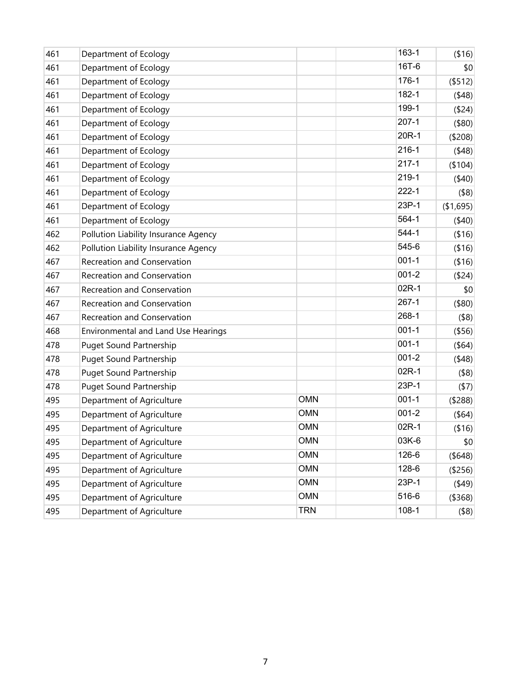| 461 | Department of Ecology                |            | 163-1     | ( \$16)      |
|-----|--------------------------------------|------------|-----------|--------------|
| 461 | Department of Ecology                |            | 16T-6     | \$0          |
| 461 | Department of Ecology                |            | 176-1     | (\$512)      |
| 461 | Department of Ecology                |            | 182-1     | (48)         |
| 461 | Department of Ecology                |            | 199-1     | (\$24)       |
| 461 | Department of Ecology                |            | $207-1$   | (\$80)       |
| 461 | Department of Ecology                |            | 20R-1     | (\$208)      |
| 461 | Department of Ecology                |            | $216 - 1$ | (48)         |
| 461 | Department of Ecology                |            | $217 - 1$ | (\$104)      |
| 461 | Department of Ecology                |            | 219-1     | (40)         |
| 461 | Department of Ecology                |            | $222 - 1$ | $($ \$8)     |
| 461 | Department of Ecology                |            | 23P-1     | (\$1,695)    |
| 461 | Department of Ecology                |            | 564-1     | (40)         |
| 462 | Pollution Liability Insurance Agency |            | 544-1     | ( \$16)      |
| 462 | Pollution Liability Insurance Agency |            | 545-6     | ( \$16)      |
| 467 | Recreation and Conservation          |            | $001 - 1$ | ( \$16)      |
| 467 | Recreation and Conservation          |            | $001 - 2$ | (\$24)       |
| 467 | Recreation and Conservation          |            | 02R-1     | \$0          |
| 467 | Recreation and Conservation          |            | $267-1$   | (\$80)       |
| 467 | Recreation and Conservation          |            | 268-1     | $($ \$8)     |
| 468 | Environmental and Land Use Hearings  |            | $001 - 1$ | ( \$56)      |
| 478 | <b>Puget Sound Partnership</b>       |            | $001 - 1$ | $($ \$64)    |
| 478 | <b>Puget Sound Partnership</b>       |            | $001 - 2$ | (48)         |
| 478 | <b>Puget Sound Partnership</b>       |            | 02R-1     | $($ \$8)     |
| 478 | <b>Puget Sound Partnership</b>       |            | 23P-1     | (57)         |
| 495 | Department of Agriculture            | <b>OMN</b> | $001 - 1$ | (\$288)      |
| 495 | Department of Agriculture            | <b>OMN</b> | $001 - 2$ | (\$64)       |
| 495 | Department of Agriculture            | <b>OMN</b> | 02R-1     | ( \$16)      |
| 495 | Department of Agriculture            | <b>OMN</b> | 03K-6     | 0            |
| 495 | Department of Agriculture            | <b>OMN</b> | 126-6     | (\$648)      |
| 495 | Department of Agriculture            | <b>OMN</b> | 128-6     | (\$256)      |
| 495 | Department of Agriculture            | <b>OMN</b> | 23P-1     | (449)        |
| 495 | Department of Agriculture            | <b>OMN</b> | 516-6     | ( \$368)     |
| 495 | Department of Agriculture            | <b>TRN</b> | $108-1$   | $($ \$8) $ $ |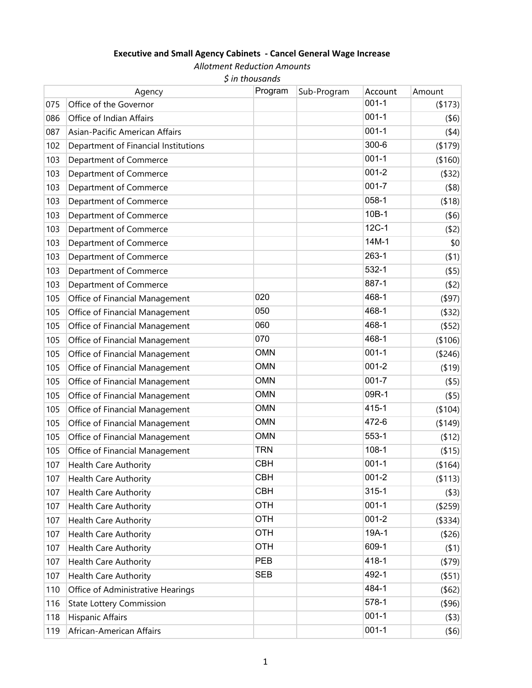## **Executive and Small Agency Cabinets ‐ Cancel General Wage Increase**

*Allotment Reduction Amounts*

|  | $$$ in thousands |
|--|------------------|
|--|------------------|

|     | Agency                               | Program    | Sub-Program | Account   | Amount       |
|-----|--------------------------------------|------------|-------------|-----------|--------------|
| 075 | Office of the Governor               |            |             | $001 - 1$ | (173)        |
| 086 | Office of Indian Affairs             |            |             | $001 - 1$ | $($ \$6)     |
| 087 | Asian-Pacific American Affairs       |            |             | $001 - 1$ | (44)         |
| 102 | Department of Financial Institutions |            |             | $300 - 6$ | (179)        |
| 103 | Department of Commerce               |            |             | $001 - 1$ | (\$160)      |
| 103 | Department of Commerce               |            |             | $001 - 2$ | $($ \$32)    |
| 103 | Department of Commerce               |            |             | $001 - 7$ | $($ \$8)     |
| 103 | Department of Commerce               |            |             | $058 - 1$ | (\$18)       |
| 103 | Department of Commerce               |            |             | 10B-1     | $($ \$6)     |
| 103 | Department of Commerce               |            |             | $12C-1$   | $($ \$2)     |
| 103 | Department of Commerce               |            |             | 14M-1     | \$0          |
| 103 | Department of Commerce               |            |             | $263 - 1$ | $($ \$1)     |
| 103 | Department of Commerce               |            |             | 532-1     | $($ \$5)     |
| 103 | Department of Commerce               |            |             | 887-1     | (\$2)        |
| 105 | Office of Financial Management       | 020        |             | 468-1     | $($ \$97)    |
| 105 | Office of Financial Management       | 050        |             | 468-1     | (\$32)       |
| 105 | Office of Financial Management       | 060        |             | 468-1     | $($ \$52)    |
| 105 | Office of Financial Management       | 070        |             | 468-1     | (\$106)      |
| 105 | Office of Financial Management       | <b>OMN</b> |             | $001 - 1$ | (\$246)      |
| 105 | Office of Financial Management       | <b>OMN</b> |             | $001 - 2$ | (19)         |
| 105 | Office of Financial Management       | <b>OMN</b> |             | $001 - 7$ | $($ \$5)     |
| 105 | Office of Financial Management       | <b>OMN</b> |             | 09R-1     | $($ \$5)     |
| 105 | Office of Financial Management       | <b>OMN</b> |             | 415-1     | (\$104)      |
| 105 | Office of Financial Management       | <b>OMN</b> |             | 472-6     | (\$149)      |
| 105 | Office of Financial Management       | <b>OMN</b> |             | 553-1     | (12)         |
| 105 | Office of Financial Management       | <b>TRN</b> |             | $108 - 1$ | ( \$15)      |
| 107 | <b>Health Care Authority</b>         | <b>CBH</b> |             | $001 - 1$ | (\$164)      |
| 107 | <b>Health Care Authority</b>         | <b>CBH</b> |             | $001 - 2$ | (\$113)      |
| 107 | <b>Health Care Authority</b>         | <b>CBH</b> |             | $315 - 1$ | $($ \$3) $ $ |
| 107 | Health Care Authority                | <b>OTH</b> |             | $001 - 1$ | (\$259)      |
| 107 | <b>Health Care Authority</b>         | <b>OTH</b> |             | $001 - 2$ | (\$334)      |
| 107 | <b>Health Care Authority</b>         | <b>OTH</b> |             | 19A-1     | (\$26)       |
| 107 | <b>Health Care Authority</b>         | <b>OTH</b> |             | 609-1     | $($ \$1)     |
| 107 | Health Care Authority                | <b>PEB</b> |             | 418-1     | (579)        |
| 107 | <b>Health Care Authority</b>         | <b>SEB</b> |             | 492-1     | $($ \$51)    |
| 110 | Office of Administrative Hearings    |            |             | 484-1     | (\$62)       |
| 116 | <b>State Lottery Commission</b>      |            |             | 578-1     | $($ \$96)    |
| 118 | <b>Hispanic Affairs</b>              |            |             | $001 - 1$ | $($ \$3) $ $ |
| 119 | African-American Affairs             |            |             | $001 - 1$ | $($ \$6) $ $ |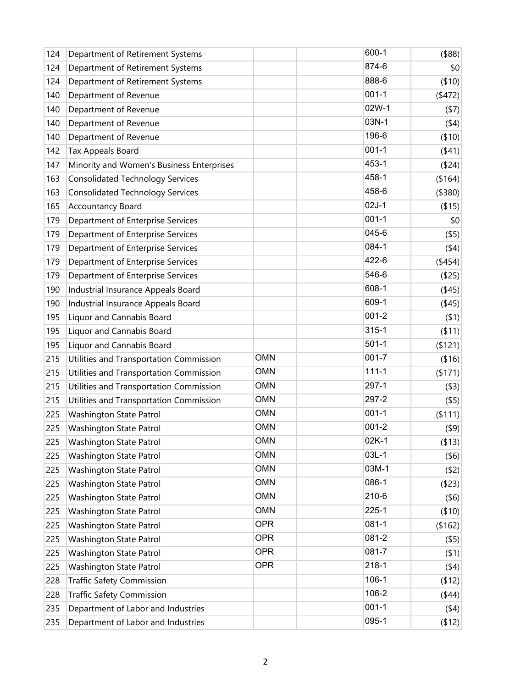| 124 | Department of Retirement Systems          |            | 600-1     | $($ \$88)      |
|-----|-------------------------------------------|------------|-----------|----------------|
| 124 | Department of Retirement Systems          |            | 874-6     | \$0            |
| 124 | Department of Retirement Systems          |            | 888-6     | ( \$10)        |
| 140 | Department of Revenue                     |            | $001 - 1$ | (472)          |
| 140 | Department of Revenue                     |            | 02W-1     | (57)           |
| 140 | Department of Revenue                     |            | 03N-1     | (44)           |
| 140 | Department of Revenue                     |            | 196-6     | (10)           |
| 142 | Tax Appeals Board                         |            | $001 - 1$ | (41)           |
| 147 | Minority and Women's Business Enterprises |            | 453-1     | ( \$24)        |
| 163 | <b>Consolidated Technology Services</b>   |            | 458-1     | ( \$164)       |
| 163 | <b>Consolidated Technology Services</b>   |            | 458-6     | (\$380)        |
| 165 | Accountancy Board                         |            | $02J-1$   | (15)           |
| 179 | Department of Enterprise Services         |            | $001 - 1$ | \$0            |
| 179 | Department of Enterprise Services         |            | 045-6     | $($ \$5)       |
| 179 | Department of Enterprise Services         |            | 084-1     | (44)           |
| 179 | Department of Enterprise Services         |            | 422-6     | $($ \$454) $ $ |
| 179 | Department of Enterprise Services         |            | 546-6     | $($ \$25) $ $  |
| 190 | Industrial Insurance Appeals Board        |            | 608-1     | (445)          |
| 190 | Industrial Insurance Appeals Board        |            | 609-1     | (445)          |
| 195 | Liquor and Cannabis Board                 |            | $001 - 2$ | (51)           |
| 195 | Liquor and Cannabis Board                 |            | $315 - 1$ | ( \$11)        |
| 195 | Liquor and Cannabis Board                 |            | $501-1$   | ( \$121)       |
| 215 | Utilities and Transportation Commission   | <b>OMN</b> | $001 - 7$ | ( \$16)        |
| 215 | Utilities and Transportation Commission   | <b>OMN</b> | $111 - 1$ | (171)          |
| 215 | Utilities and Transportation Commission   | <b>OMN</b> | 297-1     | ( \$3)         |
| 215 | Utilities and Transportation Commission   | <b>OMN</b> | 297-2     | $($ \$5)       |
| 225 | Washington State Patrol                   | <b>OMN</b> | $001 - 1$ | ( \$111)       |
| 225 | Washington State Patrol                   | <b>OMN</b> | $001 - 2$ | $($ \$9)       |
| 225 | Washington State Patrol                   | <b>OMN</b> | 02K-1     | ( \$13)        |
| 225 | Washington State Patrol                   | <b>OMN</b> | $03L-1$   | $($ \$6)       |
| 225 | Washington State Patrol                   | <b>OMN</b> | 03M-1     | (52)           |
| 225 | Washington State Patrol                   | <b>OMN</b> | 086-1     | ( \$23)        |
| 225 | Washington State Patrol                   | <b>OMN</b> | 210-6     | $($ \$6)       |
| 225 | Washington State Patrol                   | <b>OMN</b> | $225 - 1$ | (10)           |
| 225 | Washington State Patrol                   | <b>OPR</b> | $081 - 1$ | (\$162)        |
| 225 | Washington State Patrol                   | <b>OPR</b> | 081-2     | $($ \$5)       |
| 225 | Washington State Patrol                   | <b>OPR</b> | 081-7     | (51)           |
| 225 | Washington State Patrol                   | <b>OPR</b> | $218 - 1$ | (44)           |
| 228 | <b>Traffic Safety Commission</b>          |            | 106-1     | (12)           |
| 228 | <b>Traffic Safety Commission</b>          |            | 106-2     | (444)          |
| 235 | Department of Labor and Industries        |            | $001 - 1$ | (44)           |
| 235 | Department of Labor and Industries        |            | 095-1     | (12)           |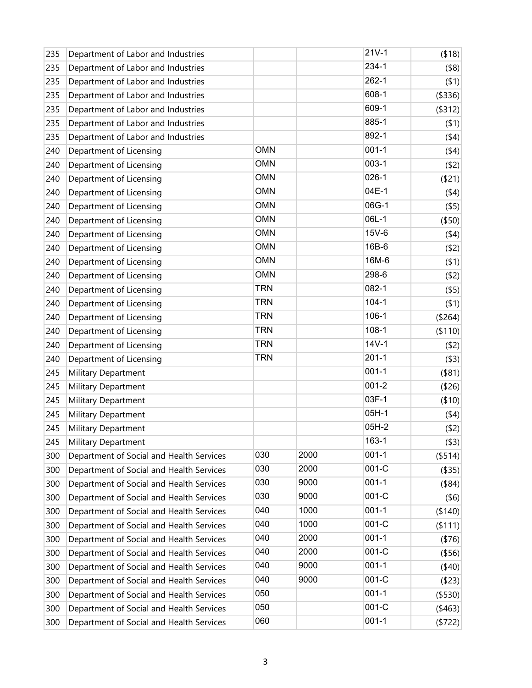| 235 | Department of Labor and Industries       |            |      | $21V-1$   | ( \$18)   |
|-----|------------------------------------------|------------|------|-----------|-----------|
| 235 | Department of Labor and Industries       |            |      | 234-1     | $($ \$8)  |
| 235 | Department of Labor and Industries       |            |      | $262 - 1$ | $($ \$1)  |
| 235 | Department of Labor and Industries       |            |      | 608-1     | ( \$336)  |
| 235 | Department of Labor and Industries       |            |      | 609-1     | ( \$312)  |
| 235 | Department of Labor and Industries       |            |      | 885-1     | $($ \$1)  |
| 235 | Department of Labor and Industries       |            |      | 892-1     | (44)      |
| 240 | Department of Licensing                  | <b>OMN</b> |      | $001-1$   | (44)      |
| 240 | Department of Licensing                  | <b>OMN</b> |      | $003-1$   | (52)      |
| 240 | Department of Licensing                  | <b>OMN</b> |      | $026-1$   | ( \$21)   |
| 240 | Department of Licensing                  | <b>OMN</b> |      | 04E-1     | (44)      |
| 240 | Department of Licensing                  | <b>OMN</b> |      | 06G-1     | $($ \$5)  |
| 240 | Department of Licensing                  | <b>OMN</b> |      | 06L-1     | (\$50)    |
| 240 | Department of Licensing                  | <b>OMN</b> |      | 15V-6     | (44)      |
| 240 | Department of Licensing                  | <b>OMN</b> |      | 16B-6     | (52)      |
| 240 | Department of Licensing                  | <b>OMN</b> |      | 16M-6     | (51)      |
| 240 | Department of Licensing                  | <b>OMN</b> |      | 298-6     | (52)      |
| 240 | Department of Licensing                  | <b>TRN</b> |      | 082-1     | $($ \$5)  |
| 240 | Department of Licensing                  | <b>TRN</b> |      | $104 - 1$ | $($ \$1)  |
| 240 | Department of Licensing                  | <b>TRN</b> |      | $106-1$   | (\$264)   |
| 240 | Department of Licensing                  | <b>TRN</b> |      | $108 - 1$ | ( \$110)  |
| 240 | Department of Licensing                  | <b>TRN</b> |      | $14V-1$   | (52)      |
| 240 | Department of Licensing                  | <b>TRN</b> |      | $201 - 1$ | ( \$3)    |
| 245 | Military Department                      |            |      | $001 - 1$ | $($ \$81) |
| 245 | Military Department                      |            |      | $001 - 2$ | (\$26)    |
| 245 | Military Department                      |            |      | 03F-1     | ( \$10)   |
| 245 | Military Department                      |            |      | $05H-1$   | (44)      |
| 245 | Military Department                      |            |      | 05H-2     | (52)      |
| 245 | Military Department                      |            |      | 163-1     | ( \$3)    |
| 300 | Department of Social and Health Services | 030        | 2000 | $001 - 1$ | ( \$514)  |
| 300 | Department of Social and Health Services | 030        | 2000 | $001-C$   | ( \$35)   |
| 300 | Department of Social and Health Services | 030        | 9000 | $001 - 1$ | $($ \$84) |
| 300 | Department of Social and Health Services | 030        | 9000 | 001-C     | $($ \$6)  |
| 300 | Department of Social and Health Services | 040        | 1000 | $001 - 1$ | (\$140)   |
| 300 | Department of Social and Health Services | 040        | 1000 | 001-C     | ( \$111)  |
| 300 | Department of Social and Health Services | 040        | 2000 | $001 - 1$ | ( \$76)   |
| 300 | Department of Social and Health Services | 040        | 2000 | 001-C     | ( \$56)   |
| 300 | Department of Social and Health Services | 040        | 9000 | $001 - 1$ | (40)      |
| 300 | Department of Social and Health Services | 040        | 9000 | 001-C     | ( \$23)   |
| 300 | Department of Social and Health Services | 050        |      | $001 - 1$ | (\$530)   |
| 300 | Department of Social and Health Services | 050        |      | 001-C     | (463)     |
| 300 | Department of Social and Health Services | 060        |      | $001 - 1$ | ( \$722)  |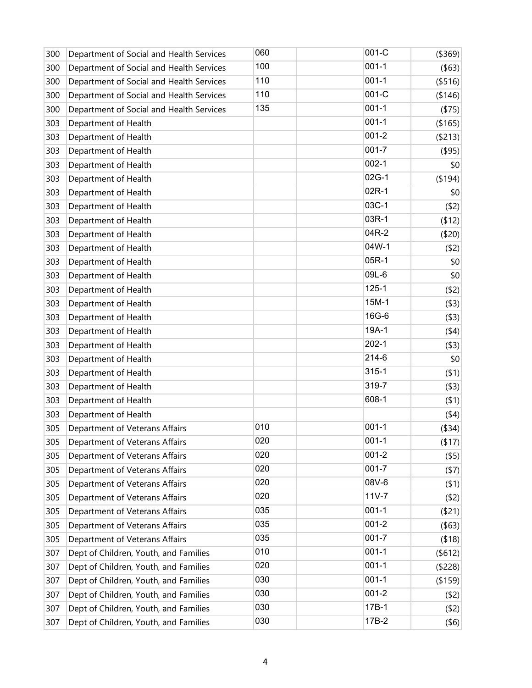| 300 | Department of Social and Health Services | 060 | 001-C     | (\$369)   |
|-----|------------------------------------------|-----|-----------|-----------|
| 300 | Department of Social and Health Services | 100 | $001 - 1$ | $($ \$63) |
| 300 | Department of Social and Health Services | 110 | $001 - 1$ | ( \$516)  |
| 300 | Department of Social and Health Services | 110 | 001-C     | (\$146)   |
| 300 | Department of Social and Health Services | 135 | $001 - 1$ | ( \$75)   |
| 303 | Department of Health                     |     | $001 - 1$ | (\$165)   |
| 303 | Department of Health                     |     | $001 - 2$ | ( \$213)  |
| 303 | Department of Health                     |     | $001 - 7$ | $($ \$95) |
| 303 | Department of Health                     |     | $002 - 1$ | \$0       |
| 303 | Department of Health                     |     | 02G-1     | (194)     |
| 303 | Department of Health                     |     | 02R-1     | \$0       |
| 303 | Department of Health                     |     | 03C-1     | (52)      |
| 303 | Department of Health                     |     | 03R-1     | (512)     |
| 303 | Department of Health                     |     | 04R-2     | (520)     |
| 303 | Department of Health                     |     | 04W-1     | (52)      |
| 303 | Department of Health                     |     | 05R-1     | \$0       |
| 303 | Department of Health                     |     | 09L-6     | \$0       |
| 303 | Department of Health                     |     | $125 - 1$ | (52)      |
| 303 | Department of Health                     |     | 15M-1     | ( \$3)    |
| 303 | Department of Health                     |     | 16G-6     | ( \$3)    |
| 303 | Department of Health                     |     | 19A-1     | (44)      |
| 303 | Department of Health                     |     | $202 - 1$ | ( \$3)    |
| 303 | Department of Health                     |     | 214-6     | \$0       |
| 303 | Department of Health                     |     | $315 - 1$ | (51)      |
| 303 | Department of Health                     |     | 319-7     | ( \$3)    |
| 303 | Department of Health                     |     | 608-1     | $($ \$1)  |
| 303 | Department of Health                     |     |           | (44)      |
| 305 | Department of Veterans Affairs           | 010 | $001 - 1$ | ( \$34)   |
| 305 | Department of Veterans Affairs           | 020 | $001 - 1$ | ( \$17)   |
| 305 | Department of Veterans Affairs           | 020 | $001 - 2$ | $($ \$5)  |
| 305 | Department of Veterans Affairs           | 020 | $001 - 7$ | (57)      |
| 305 | Department of Veterans Affairs           | 020 | 08V-6     | (51)      |
| 305 | Department of Veterans Affairs           | 020 | $11V - 7$ | (52)      |
| 305 | Department of Veterans Affairs           | 035 | $001 - 1$ | ( \$21)   |
| 305 | Department of Veterans Affairs           | 035 | $001 - 2$ | $($ \$63) |
| 305 | Department of Veterans Affairs           | 035 | $001 - 7$ | ( \$18)   |
| 307 | Dept of Children, Youth, and Families    | 010 | $001 - 1$ | (\$612)   |
| 307 | Dept of Children, Youth, and Families    | 020 | $001 - 1$ | (\$228)   |
| 307 | Dept of Children, Youth, and Families    | 030 | $001 - 1$ | ( \$159)  |
| 307 | Dept of Children, Youth, and Families    | 030 | $001 - 2$ | (52)      |
| 307 | Dept of Children, Youth, and Families    | 030 | 17B-1     | (52)      |
| 307 | Dept of Children, Youth, and Families    | 030 | 17B-2     | $($ \$6)  |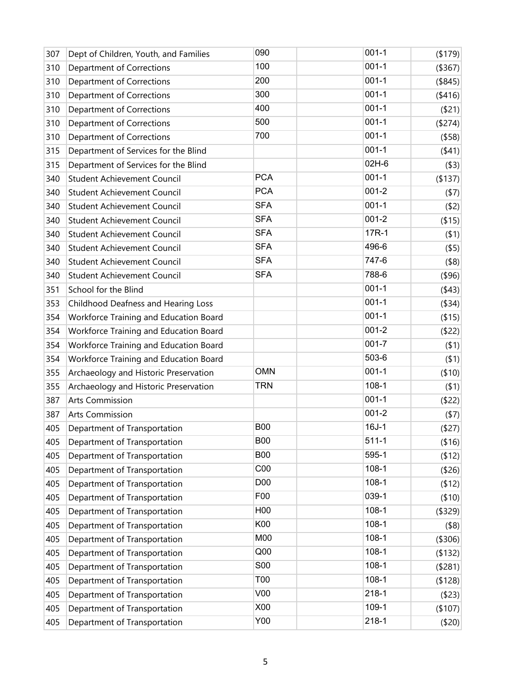| 307 | Dept of Children, Youth, and Families  | 090             | $001 - 1$ | (179)         |
|-----|----------------------------------------|-----------------|-----------|---------------|
| 310 | Department of Corrections              | 100             | $001 - 1$ | ( \$367)      |
| 310 | Department of Corrections              | 200             | $001 - 1$ | (\$845)       |
| 310 | <b>Department of Corrections</b>       | 300             | $001 - 1$ | (416)         |
| 310 | Department of Corrections              | 400             | $001 - 1$ | $($ \$21) $ $ |
| 310 | Department of Corrections              | 500             | $001 - 1$ | (\$274)       |
| 310 | Department of Corrections              | 700             | $001 - 1$ | ( \$58)       |
| 315 | Department of Services for the Blind   |                 | $001 - 1$ | (441)         |
| 315 | Department of Services for the Blind   |                 | 02H-6     | ( \$3)        |
| 340 | <b>Student Achievement Council</b>     | <b>PCA</b>      | $001 - 1$ | ( \$137)      |
| 340 | <b>Student Achievement Council</b>     | <b>PCA</b>      | $001 - 2$ | (57)          |
| 340 | <b>Student Achievement Council</b>     | <b>SFA</b>      | $001 - 1$ | (52)          |
| 340 | <b>Student Achievement Council</b>     | <b>SFA</b>      | $001 - 2$ | ( \$15)       |
| 340 | Student Achievement Council            | <b>SFA</b>      | 17R-1     | (51)          |
| 340 | <b>Student Achievement Council</b>     | <b>SFA</b>      | 496-6     | $($ \$5)      |
| 340 | Student Achievement Council            | <b>SFA</b>      | 747-6     | $($ \$8)      |
| 340 | <b>Student Achievement Council</b>     | <b>SFA</b>      | 788-6     | $($ \$96)     |
| 351 | School for the Blind                   |                 | $001 - 1$ | (43)          |
| 353 | Childhood Deafness and Hearing Loss    |                 | $001 - 1$ | (\$34)        |
| 354 | Workforce Training and Education Board |                 | $001 - 1$ | ( \$15)       |
| 354 | Workforce Training and Education Board |                 | $001 - 2$ | (522)         |
| 354 | Workforce Training and Education Board |                 | $001 - 7$ | (51)          |
| 354 | Workforce Training and Education Board |                 | 503-6     | (51)          |
| 355 | Archaeology and Historic Preservation  | <b>OMN</b>      | $001 - 1$ | (10)          |
| 355 | Archaeology and Historic Preservation  | <b>TRN</b>      | $108 - 1$ | $($ \$1)      |
| 387 | <b>Arts Commission</b>                 |                 | $001 - 1$ | $($ \$22)     |
| 387 | <b>Arts Commission</b>                 |                 | $001 - 2$ | (57)          |
| 405 | Department of Transportation           | <b>B00</b>      | $16J-1$   | ( \$27)       |
| 405 | Department of Transportation           | <b>B00</b>      | $511 - 1$ | (\$16)        |
| 405 | Department of Transportation           | <b>B00</b>      | 595-1     | (12)          |
| 405 | Department of Transportation           | C <sub>00</sub> | $108 - 1$ | (\$26)        |
| 405 | Department of Transportation           | D <sub>00</sub> | $108 - 1$ | (12)          |
| 405 | Department of Transportation           | F <sub>0</sub>  | 039-1     | ( \$10)       |
| 405 | Department of Transportation           | H <sub>00</sub> | $108 - 1$ | (\$329)       |
| 405 | Department of Transportation           | K00             | $108 - 1$ | $($ \$8)      |
| 405 | Department of Transportation           | M00             | $108 - 1$ | (\$306)       |
| 405 | Department of Transportation           | Q <sub>00</sub> | $108 - 1$ | (132)         |
| 405 | Department of Transportation           | <b>S00</b>      | $108 - 1$ | ( \$281)      |
| 405 | Department of Transportation           | T00             | $108 - 1$ | ( \$128)      |
| 405 | Department of Transportation           | V <sub>00</sub> | $218 - 1$ | ( \$23)       |
| 405 | Department of Transportation           | X00             | 109-1     | (\$107)       |
| 405 | Department of Transportation           | Y00             | $218 - 1$ | ( \$20)       |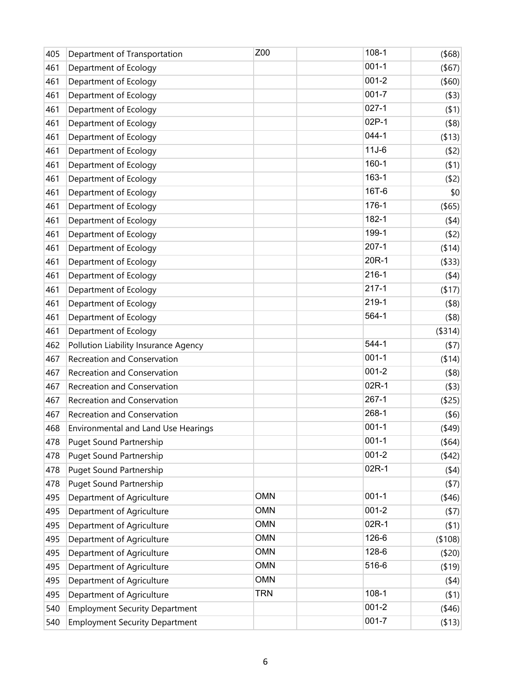| 405 | Department of Transportation          | Z00        | $108 - 1$ | $($ \$68) |
|-----|---------------------------------------|------------|-----------|-----------|
| 461 | Department of Ecology                 |            | $001 - 1$ | $($ \$67) |
| 461 | Department of Ecology                 |            | $001 - 2$ | $($ \$60) |
| 461 | Department of Ecology                 |            | $001 - 7$ | ( \$3)    |
| 461 | Department of Ecology                 |            | $027 - 1$ | (51)      |
| 461 | Department of Ecology                 |            | 02P-1     | $($ \$8)  |
| 461 | Department of Ecology                 |            | $044 - 1$ | ( \$13)   |
| 461 | Department of Ecology                 |            | $11J-6$   | (52)      |
| 461 | Department of Ecology                 |            | $160 - 1$ | (51)      |
| 461 | Department of Ecology                 |            | 163-1     | (52)      |
| 461 | Department of Ecology                 |            | 16T-6     | \$0       |
| 461 | Department of Ecology                 |            | 176-1     | $($ \$65) |
| 461 | Department of Ecology                 |            | 182-1     | (44)      |
| 461 | Department of Ecology                 |            | 199-1     | (52)      |
| 461 | Department of Ecology                 |            | $207-1$   | ( \$14)   |
| 461 | Department of Ecology                 |            | 20R-1     | ( \$33)   |
| 461 | Department of Ecology                 |            | $216 - 1$ | (44)      |
| 461 | Department of Ecology                 |            | $217 - 1$ | ( \$17)   |
| 461 | Department of Ecology                 |            | 219-1     | $($ \$8)  |
| 461 | Department of Ecology                 |            | 564-1     | $($ \$8)  |
| 461 | Department of Ecology                 |            |           | (\$314)   |
| 462 | Pollution Liability Insurance Agency  |            | 544-1     | (57)      |
| 467 | Recreation and Conservation           |            | $001 - 1$ | ( \$14)   |
| 467 | Recreation and Conservation           |            | $001 - 2$ | $($ \$8)  |
| 467 | Recreation and Conservation           |            | 02R-1     | ( \$3)    |
| 467 | Recreation and Conservation           |            | $267-1$   | (\$25)    |
| 467 | Recreation and Conservation           |            | 268-1     | $($ \$6)  |
| 468 | Environmental and Land Use Hearings   |            | $001 - 1$ | (449)     |
| 478 | <b>Puget Sound Partnership</b>        |            | $001 - 1$ | (\$64)    |
| 478 | <b>Puget Sound Partnership</b>        |            | $001 - 2$ | (42)      |
| 478 | <b>Puget Sound Partnership</b>        |            | 02R-1     | (44)      |
| 478 | <b>Puget Sound Partnership</b>        |            |           | (57)      |
| 495 | Department of Agriculture             | <b>OMN</b> | $001-1$   | (46)      |
| 495 | Department of Agriculture             | <b>OMN</b> | $001 - 2$ | (57)      |
| 495 | Department of Agriculture             | <b>OMN</b> | 02R-1     | (51)      |
| 495 | Department of Agriculture             | <b>OMN</b> | 126-6     | (\$108)   |
| 495 | Department of Agriculture             | <b>OMN</b> | 128-6     | (\$20)    |
| 495 | Department of Agriculture             | <b>OMN</b> | 516-6     | (19)      |
| 495 | Department of Agriculture             | <b>OMN</b> |           | (44)      |
| 495 | Department of Agriculture             | <b>TRN</b> | $108 - 1$ | (51)      |
| 540 | <b>Employment Security Department</b> |            | $001 - 2$ | (46)      |
| 540 | <b>Employment Security Department</b> |            | $001 - 7$ | ( \$13)   |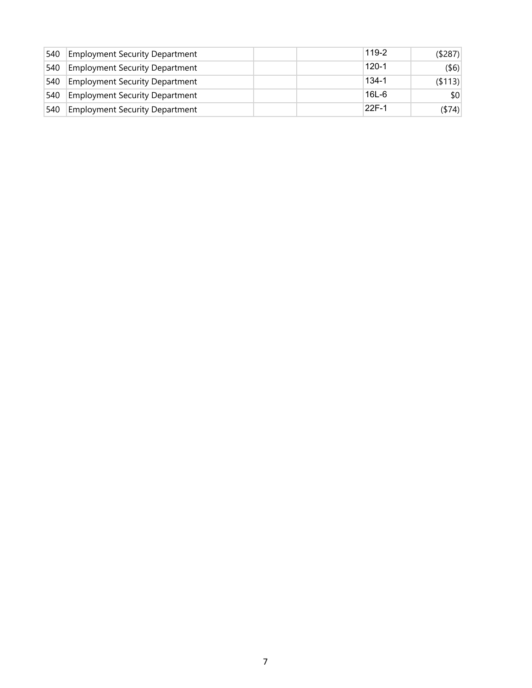| ⊺540          | <b>Employment Security Department</b> |  | 119-2     | (\$287)  |
|---------------|---------------------------------------|--|-----------|----------|
| 540           | <b>Employment Security Department</b> |  | $120 - 1$ | $($ \$6) |
| 540           | <b>Employment Security Department</b> |  | $134 - 1$ | ( \$113) |
| 540           | <b>Employment Security Department</b> |  | $16L - 6$ | \$0      |
| $ 540\rangle$ | <b>Employment Security Department</b> |  | 22F-1     | (\$74)   |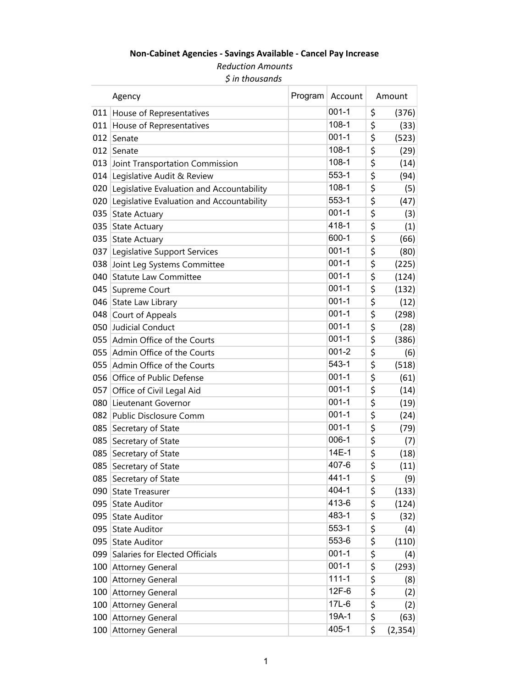# **Non‐Cabinet Agencies ‐ Savings Available ‐ Cancel Pay Increase**

*Reduction Amounts \$ in thousands*

|     | Agency                                    | Program Account | Amount         |
|-----|-------------------------------------------|-----------------|----------------|
| 011 | House of Representatives                  | $001 - 1$       | \$<br>(376)    |
|     | 011 House of Representatives              | $108 - 1$       | \$<br>(33)     |
| 012 | Senate                                    | $001 - 1$       | \$<br>(523)    |
| 012 | Senate                                    | $108 - 1$       | \$<br>(29)     |
| 013 | Joint Transportation Commission           | $108-1$         | \$<br>(14)     |
| 014 | Legislative Audit & Review                | 553-1           | \$<br>(94)     |
| 020 | Legislative Evaluation and Accountability | $108 - 1$       | \$<br>(5)      |
| 020 | Legislative Evaluation and Accountability | $553 - 1$       | \$<br>(47)     |
| 035 | <b>State Actuary</b>                      | $001 - 1$       | \$<br>(3)      |
| 035 | <b>State Actuary</b>                      | 418-1           | \$<br>(1)      |
|     | 035 State Actuary                         | 600-1           | \$<br>(66)     |
| 037 | Legislative Support Services              | $001 - 1$       | \$<br>(80)     |
|     | 038 Joint Leg Systems Committee           | $001 - 1$       | \$<br>(225)    |
| 040 | <b>Statute Law Committee</b>              | $001 - 1$       | \$<br>(124)    |
| 045 | Supreme Court                             | $001 - 1$       | \$<br>(132)    |
|     | 046 State Law Library                     | $001 - 1$       | \$<br>(12)     |
|     | 048 Court of Appeals                      | $001 - 1$       | \$<br>(298)    |
| 050 | Judicial Conduct                          | $001 - 1$       | \$<br>(28)     |
|     | 055 Admin Office of the Courts            | $001 - 1$       | \$<br>(386)    |
|     | 055 Admin Office of the Courts            | $001 - 2$       | \$<br>(6)      |
|     | 055 Admin Office of the Courts            | 543-1           | \$<br>(518)    |
|     | 056 Office of Public Defense              | $001 - 1$       | \$<br>(61)     |
| 057 | Office of Civil Legal Aid                 | $001 - 1$       | \$<br>(14)     |
| 080 | Lieutenant Governor                       | $001 - 1$       | \$<br>(19)     |
|     | 082 Public Disclosure Comm                | $001 - 1$       | \$<br>(24)     |
| 085 | Secretary of State                        | $001 - 1$       | \$<br>(79)     |
| 085 | Secretary of State                        | $006-1$         | \$<br>(7)      |
| 085 | Secretary of State                        | 14E-1           | \$<br>(18)     |
| 085 | Secretary of State                        | 407-6           | \$<br>(11)     |
| 085 | Secretary of State                        | 441-1           | \$<br>(9)      |
| 090 | <b>State Treasurer</b>                    | 404-1           | \$<br>(133)    |
| 095 | <b>State Auditor</b>                      | 413-6           | \$<br>(124)    |
| 095 | <b>State Auditor</b>                      | 483-1           | \$<br>(32)     |
| 095 | <b>State Auditor</b>                      | 553-1           | \$<br>(4)      |
|     | 095 State Auditor                         | 553-6           | \$<br>(110)    |
| 099 | Salaries for Elected Officials            | $001 - 1$       | \$<br>(4)      |
| 100 | Attorney General                          | $001 - 1$       | \$<br>(293)    |
|     | 100 Attorney General                      | $111 - 1$       | \$<br>(8)      |
| 100 | <b>Attorney General</b>                   | 12F-6           | \$<br>(2)      |
| 100 | <b>Attorney General</b>                   | 17L-6           | \$<br>(2)      |
|     | 100 Attorney General                      | 19A-1           | \$<br>(63)     |
|     | 100 Attorney General                      | 405-1           | \$<br>(2, 354) |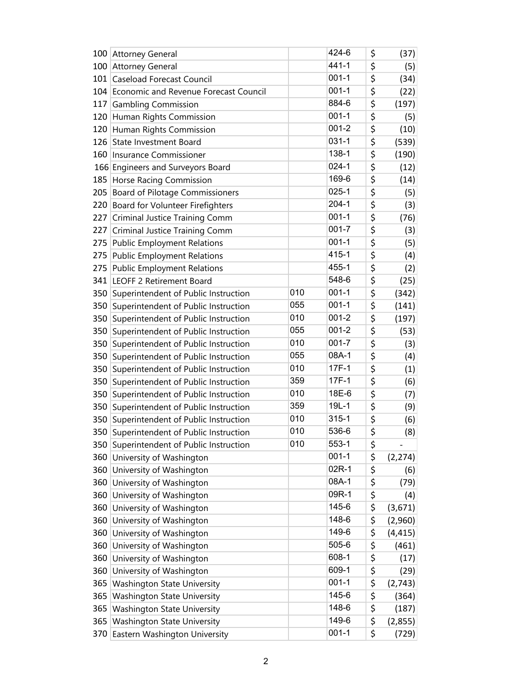|     | 100 Attorney General                     |     | 424-6     | \$<br>(37)     |
|-----|------------------------------------------|-----|-----------|----------------|
|     | 100 Attorney General                     |     | $441 - 1$ | \$<br>(5)      |
| 101 | <b>Caseload Forecast Council</b>         |     | $001 - 1$ | \$<br>(34)     |
| 104 | Economic and Revenue Forecast Council    |     | $001 - 1$ | \$<br>(22)     |
| 117 | <b>Gambling Commission</b>               |     | 884-6     | \$<br>(197)    |
| 120 | Human Rights Commission                  |     | $001 - 1$ | \$<br>(5)      |
|     | 120 Human Rights Commission              |     | $001 - 2$ | \$<br>(10)     |
| 126 | State Investment Board                   |     | $031 - 1$ | \$<br>(539)    |
| 160 | Insurance Commissioner                   |     | 138-1     | \$<br>(190)    |
|     | 166 Engineers and Surveyors Board        |     | $024 - 1$ | \$<br>(12)     |
| 185 | Horse Racing Commission                  |     | 169-6     | \$<br>(14)     |
| 205 | <b>Board of Pilotage Commissioners</b>   |     | $025 - 1$ | \$<br>(5)      |
| 220 | Board for Volunteer Firefighters         |     | $204 - 1$ | \$<br>(3)      |
| 227 | Criminal Justice Training Comm           |     | $001 - 1$ | \$<br>(76)     |
| 227 | <b>Criminal Justice Training Comm</b>    |     | $001 - 7$ | \$<br>(3)      |
| 275 | <b>Public Employment Relations</b>       |     | $001 - 1$ | \$<br>(5)      |
| 275 | <b>Public Employment Relations</b>       |     | 415-1     | \$<br>(4)      |
| 275 | <b>Public Employment Relations</b>       |     | 455-1     | \$<br>(2)      |
| 341 | <b>LEOFF 2 Retirement Board</b>          |     | 548-6     | \$<br>(25)     |
| 350 | Superintendent of Public Instruction     | 010 | $001 - 1$ | \$<br>(342)    |
| 350 | Superintendent of Public Instruction     | 055 | $001 - 1$ | \$<br>(141)    |
| 350 | Superintendent of Public Instruction     | 010 | $001 - 2$ | \$<br>(197)    |
| 350 | Superintendent of Public Instruction     | 055 | $001 - 2$ | \$<br>(53)     |
| 350 | Superintendent of Public Instruction     | 010 | $001 - 7$ | \$<br>(3)      |
| 350 | Superintendent of Public Instruction     | 055 | 08A-1     | \$<br>(4)      |
| 350 | Superintendent of Public Instruction     | 010 | 17F-1     | \$<br>(1)      |
| 350 | Superintendent of Public Instruction     | 359 | $17F-1$   | \$<br>(6)      |
| 350 | Superintendent of Public Instruction     | 010 | 18E-6     | \$<br>(7)      |
| 350 | Superintendent of Public Instruction     | 359 | $19L-1$   | \$<br>(9)      |
| 350 | Superintendent of Public Instruction     | 010 | $315 - 1$ | \$<br>(6)      |
|     | 350 Superintendent of Public Instruction | 010 | 536-6     | \$<br>(8)      |
| 350 | Superintendent of Public Instruction     | 010 | 553-1     | \$             |
| 360 | University of Washington                 |     | $001 - 1$ | \$<br>(2, 274) |
| 360 | University of Washington                 |     | 02R-1     | \$<br>(6)      |
| 360 | University of Washington                 |     | 08A-1     | \$<br>(79)     |
| 360 | University of Washington                 |     | 09R-1     | \$<br>(4)      |
| 360 | University of Washington                 |     | 145-6     | \$<br>(3,671)  |
| 360 | University of Washington                 |     | 148-6     | \$<br>(2,960)  |
| 360 | University of Washington                 |     | 149-6     | \$<br>(4, 415) |
| 360 | University of Washington                 |     | 505-6     | \$<br>(461)    |
| 360 | University of Washington                 |     | 608-1     | \$<br>(17)     |
| 360 | University of Washington                 |     | 609-1     | \$<br>(29)     |
| 365 | <b>Washington State University</b>       |     | $001 - 1$ | \$<br>(2,743)  |
| 365 | <b>Washington State University</b>       |     | 145-6     | \$<br>(364)    |
| 365 | <b>Washington State University</b>       |     | 148-6     | \$<br>(187)    |
| 365 | <b>Washington State University</b>       |     | 149-6     | \$<br>(2,855)  |
| 370 | Eastern Washington University            |     | $001 - 1$ | \$<br>(729)    |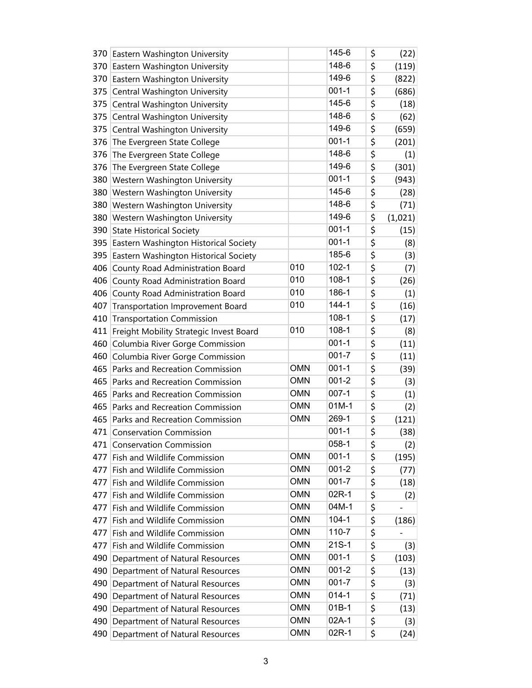|     | 370 Eastern Washington University         |            | 145-6     | \$<br>(22)    |
|-----|-------------------------------------------|------------|-----------|---------------|
|     | 370 Eastern Washington University         |            | 148-6     | \$<br>(119)   |
|     | 370 Eastern Washington University         |            | 149-6     | \$<br>(822)   |
| 375 | Central Washington University             |            | $001 - 1$ | \$<br>(686)   |
| 375 | Central Washington University             |            | 145-6     | \$<br>(18)    |
| 375 | Central Washington University             |            | 148-6     | \$<br>(62)    |
| 375 | Central Washington University             |            | 149-6     | \$<br>(659)   |
| 376 | The Evergreen State College               |            | $001 - 1$ | \$<br>(201)   |
| 376 | The Evergreen State College               |            | 148-6     | \$<br>(1)     |
| 376 | The Evergreen State College               |            | 149-6     | \$<br>(301)   |
| 380 | <b>Western Washington University</b>      |            | $001 - 1$ | \$<br>(943)   |
|     | 380 Western Washington University         |            | 145-6     | \$<br>(28)    |
| 380 | Western Washington University             |            | 148-6     | \$<br>(71)    |
| 380 | <b>Western Washington University</b>      |            | 149-6     | \$<br>(1,021) |
| 390 | <b>State Historical Society</b>           |            | $001 - 1$ | \$<br>(15)    |
|     | 395 Eastern Washington Historical Society |            | $001 - 1$ | \$<br>(8)     |
| 395 | Eastern Washington Historical Society     |            | 185-6     | \$<br>(3)     |
| 406 | County Road Administration Board          | 010        | $102 - 1$ | \$<br>(7)     |
| 406 | County Road Administration Board          | 010        | $108 - 1$ | \$<br>(26)    |
| 406 | County Road Administration Board          | 010        | 186-1     | \$<br>(1)     |
| 407 | <b>Transportation Improvement Board</b>   | 010        | $144 - 1$ | \$<br>(16)    |
| 410 | <b>Transportation Commission</b>          |            | $108-1$   | \$<br>(17)    |
| 411 | Freight Mobility Strategic Invest Board   | 010        | $108-1$   | \$<br>(8)     |
| 460 | Columbia River Gorge Commission           |            | $001 - 1$ | \$<br>(11)    |
| 460 | Columbia River Gorge Commission           |            | $001 - 7$ | \$<br>(11)    |
| 465 | Parks and Recreation Commission           | <b>OMN</b> | $001 - 1$ | \$<br>(39)    |
| 465 | Parks and Recreation Commission           | <b>OMN</b> | $001 - 2$ | \$<br>(3)     |
| 465 | Parks and Recreation Commission           | <b>OMN</b> | $007 - 1$ | \$<br>(1)     |
|     | 465 Parks and Recreation Commission       | <b>OMN</b> | $01M-1$   | \$<br>(2)     |
|     | 465 Parks and Recreation Commission       | <b>OMN</b> | 269-1     | \$<br>(121)   |
|     | 471 Conservation Commission               |            | $001 - 1$ | \$<br>(38)    |
| 471 | <b>Conservation Commission</b>            |            | $058 - 1$ | \$<br>(2)     |
| 477 | Fish and Wildlife Commission              | <b>OMN</b> | $001 - 1$ | \$<br>(195)   |
| 477 | Fish and Wildlife Commission              | <b>OMN</b> | 001-2     | \$<br>(77)    |
| 477 | Fish and Wildlife Commission              | <b>OMN</b> | $001 - 7$ | \$<br>(18)    |
| 477 | Fish and Wildlife Commission              | <b>OMN</b> | 02R-1     | \$<br>(2)     |
| 477 | Fish and Wildlife Commission              | <b>OMN</b> | 04M-1     | \$            |
| 477 | Fish and Wildlife Commission              | <b>OMN</b> | $104 - 1$ | \$<br>(186)   |
| 477 | Fish and Wildlife Commission              | <b>OMN</b> | 110-7     | \$            |
| 477 | Fish and Wildlife Commission              | <b>OMN</b> | $21S-1$   | \$<br>(3)     |
| 490 | Department of Natural Resources           | <b>OMN</b> | $001 - 1$ | \$<br>(103)   |
|     | 490 Department of Natural Resources       | <b>OMN</b> | $001 - 2$ | \$<br>(13)    |
| 490 | Department of Natural Resources           | <b>OMN</b> | $001 - 7$ | \$<br>(3)     |
| 490 | Department of Natural Resources           | <b>OMN</b> | $014 - 1$ | \$<br>(71)    |
|     | 490 Department of Natural Resources       | <b>OMN</b> | $01B-1$   | \$<br>(13)    |
| 490 | Department of Natural Resources           | <b>OMN</b> | 02A-1     | \$<br>(3)     |
| 490 | Department of Natural Resources           | <b>OMN</b> | 02R-1     | \$<br>(24)    |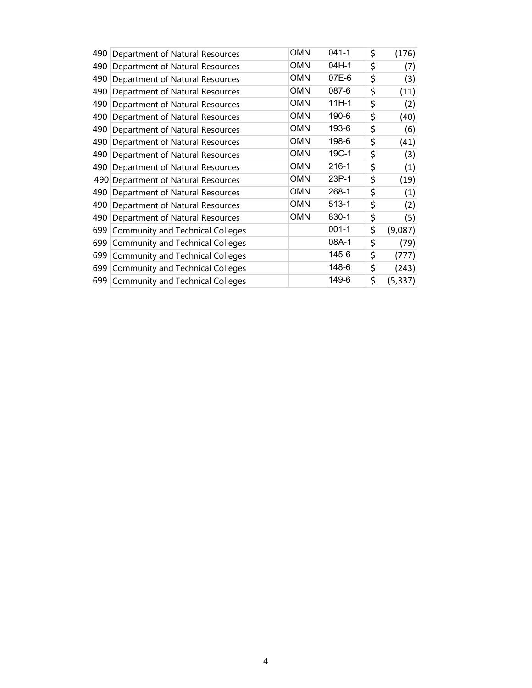| 490 | Department of Natural Resources         | <b>OMN</b> | $041 - 1$ | \$<br>(176)    |
|-----|-----------------------------------------|------------|-----------|----------------|
| 490 | Department of Natural Resources         | <b>OMN</b> | 04H-1     | \$<br>(7)      |
| 490 | Department of Natural Resources         | <b>OMN</b> | 07E-6     | \$<br>(3)      |
| 490 | Department of Natural Resources         | <b>OMN</b> | 087-6     | \$<br>(11)     |
| 490 | Department of Natural Resources         | <b>OMN</b> | $11H-1$   | \$<br>(2)      |
| 490 | Department of Natural Resources         | <b>OMN</b> | 190-6     | \$<br>(40)     |
| 490 | Department of Natural Resources         | <b>OMN</b> | 193-6     | \$<br>(6)      |
| 490 | Department of Natural Resources         | <b>OMN</b> | 198-6     | \$<br>(41)     |
| 490 | Department of Natural Resources         | <b>OMN</b> | 19C-1     | \$<br>(3)      |
| 490 | Department of Natural Resources         | <b>OMN</b> | 216-1     | \$<br>(1)      |
| 490 | Department of Natural Resources         | <b>OMN</b> | 23P-1     | \$<br>(19)     |
| 490 | Department of Natural Resources         | <b>OMN</b> | 268-1     | \$<br>(1)      |
| 490 | Department of Natural Resources         | <b>OMN</b> | $513 - 1$ | \$<br>(2)      |
| 490 | Department of Natural Resources         | <b>OMN</b> | 830-1     | \$<br>(5)      |
| 699 | <b>Community and Technical Colleges</b> |            | $001 - 1$ | \$<br>(9,087)  |
| 699 | <b>Community and Technical Colleges</b> |            | 08A-1     | \$<br>(79)     |
| 699 | <b>Community and Technical Colleges</b> |            | 145-6     | \$<br>(777)    |
| 699 | <b>Community and Technical Colleges</b> |            | 148-6     | \$<br>(243)    |
|     | 699 Community and Technical Colleges    |            | 149-6     | \$<br>(5, 337) |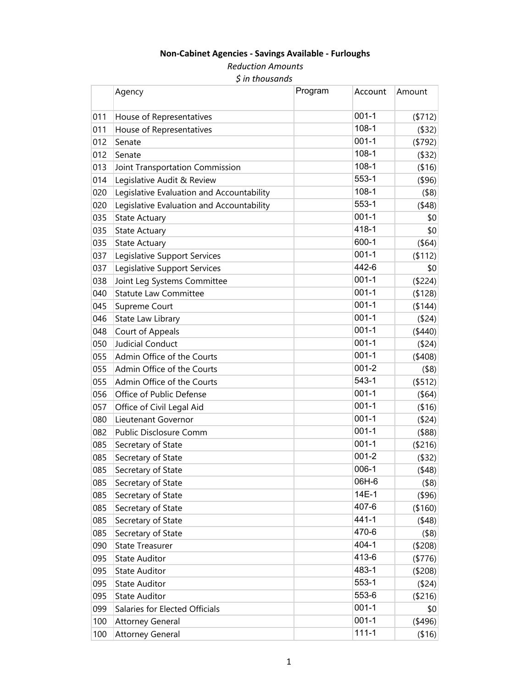## **Non‐Cabinet Agencies ‐ Savings Available ‐ Furloughs**

*Reduction Amounts \$ in thousands*

|     | Agency                                    | Program | Account   | Amount        |
|-----|-------------------------------------------|---------|-----------|---------------|
| 011 | House of Representatives                  |         | $001 - 1$ | (5712)        |
| 011 | House of Representatives                  |         | $108-1$   | $($ \$32)     |
| 012 | Senate                                    |         | $001 - 1$ | (\$792)       |
| 012 | Senate                                    |         | $108-1$   | $($ \$32)     |
| 013 | Joint Transportation Commission           |         | $108 - 1$ | ( \$16)       |
| 014 | Legislative Audit & Review                |         | 553-1     | $($ \$96)     |
| 020 | Legislative Evaluation and Accountability |         | $108-1$   | $($ \$8)      |
| 020 | Legislative Evaluation and Accountability |         | $553-1$   | (48)          |
| 035 | <b>State Actuary</b>                      |         | $001 - 1$ | \$0           |
| 035 | <b>State Actuary</b>                      |         | 418-1     | \$0           |
| 035 | State Actuary                             |         | 600-1     | (\$64)        |
| 037 | Legislative Support Services              |         | $001 - 1$ | (112)         |
| 037 | Legislative Support Services              |         | 442-6     | \$0           |
| 038 | Joint Leg Systems Committee               |         | $001 - 1$ | (\$224)       |
| 040 | <b>Statute Law Committee</b>              |         | $001 - 1$ | (\$128)       |
| 045 | Supreme Court                             |         | $001 - 1$ | (\$144)       |
| 046 | State Law Library                         |         | $001 - 1$ | (\$24)        |
| 048 | Court of Appeals                          |         | $001 - 1$ | (\$440)       |
| 050 | <b>Judicial Conduct</b>                   |         | $001 - 1$ | (\$24)        |
| 055 | Admin Office of the Courts                |         | $001 - 1$ | (\$408)       |
| 055 | Admin Office of the Courts                |         | $001 - 2$ | $($ \$8)      |
| 055 | Admin Office of the Courts                |         | 543-1     | (\$512)       |
| 056 | Office of Public Defense                  |         | $001 - 1$ | (\$64)        |
| 057 | Office of Civil Legal Aid                 |         | $001 - 1$ | ( \$16)       |
| 080 | Lieutenant Governor                       |         | $001 - 1$ | (\$24)        |
| 082 | Public Disclosure Comm                    |         | $001 - 1$ | $($ \$88)     |
| 085 | Secretary of State                        |         | $001 - 1$ | (\$216)       |
| 085 | Secretary of State                        |         | $001 - 2$ | $($ \$32)     |
| 085 | Secretary of State                        |         | $006-1$   | $($ \$48) $ $ |
| 085 | Secretary of State                        |         | 06H-6     | $($ \$8)      |
| 085 | Secretary of State                        |         | 14E-1     | $($ \$96)     |
| 085 | Secretary of State                        |         | 407-6     | (\$160)       |
| 085 | Secretary of State                        |         | $441 - 1$ | (48)          |
| 085 | Secretary of State                        |         | 470-6     | $($ \$8)      |
| 090 | <b>State Treasurer</b>                    |         | 404-1     | (\$208)       |
| 095 | <b>State Auditor</b>                      |         | 413-6     | (\$776)       |
| 095 | <b>State Auditor</b>                      |         | 483-1     | (\$208)       |
| 095 | <b>State Auditor</b>                      |         | 553-1     | ( \$24)       |
| 095 | <b>State Auditor</b>                      |         | 553-6     | (\$216)       |
| 099 | Salaries for Elected Officials            |         | $001 - 1$ | \$0           |
| 100 | <b>Attorney General</b>                   |         | $001 - 1$ | (496)         |
| 100 | <b>Attorney General</b>                   |         | $111 - 1$ | ( \$16]       |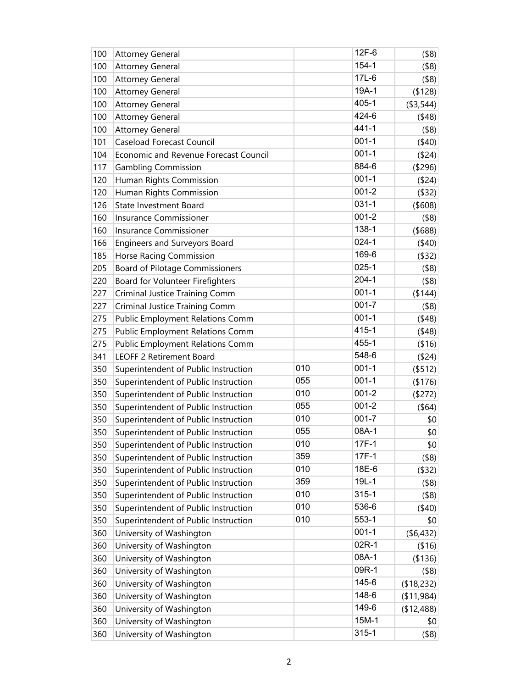| 100 | <b>Attorney General</b>                 |     | $12F-6$   | $($ \$8)   |
|-----|-----------------------------------------|-----|-----------|------------|
| 100 | <b>Attorney General</b>                 |     | $154 - 1$ | $($ \$8)   |
| 100 | <b>Attorney General</b>                 |     | $17L-6$   | $($ \$8)   |
| 100 | <b>Attorney General</b>                 |     | 19A-1     | (\$128)    |
| 100 | <b>Attorney General</b>                 |     | 405-1     | ( \$3,544) |
| 100 | <b>Attorney General</b>                 |     | 424-6     | (48)       |
| 100 | <b>Attorney General</b>                 |     | $441 - 1$ | $($ \$8)   |
| 101 | Caseload Forecast Council               |     | $001 - 1$ | (40)       |
| 104 | Economic and Revenue Forecast Council   |     | $001 - 1$ | (\$24)     |
| 117 | <b>Gambling Commission</b>              |     | 884-6     | (\$296)    |
| 120 | Human Rights Commission                 |     | $001 - 1$ | (\$24)     |
| 120 | Human Rights Commission                 |     | $001 - 2$ | (\$32)     |
| 126 | State Investment Board                  |     | $031 - 1$ | (\$608)    |
| 160 | Insurance Commissioner                  |     | $001 - 2$ | $($ \$8)   |
| 160 | Insurance Commissioner                  |     | 138-1     | $($ \$688) |
| 166 | Engineers and Surveyors Board           |     | $024 - 1$ | (40)       |
| 185 | Horse Racing Commission                 |     | 169-6     | (\$32)     |
| 205 | <b>Board of Pilotage Commissioners</b>  |     | $025 - 1$ | $($ \$8)   |
| 220 | Board for Volunteer Firefighters        |     | $204 - 1$ | (\$8)      |
| 227 | Criminal Justice Training Comm          |     | $001 - 1$ | (\$144)    |
| 227 | Criminal Justice Training Comm          |     | $001 - 7$ | $($ \$8)   |
| 275 | <b>Public Employment Relations Comm</b> |     | $001 - 1$ | (48)       |
| 275 | <b>Public Employment Relations Comm</b> |     | 415-1     | (48)       |
| 275 | <b>Public Employment Relations Comm</b> |     | 455-1     | ( \$16)    |
| 341 | <b>LEOFF 2 Retirement Board</b>         |     | 548-6     | (\$24)     |
| 350 | Superintendent of Public Instruction    | 010 | $001 - 1$ | (\$512)    |
| 350 | Superintendent of Public Instruction    | 055 | $001 - 1$ | (\$176)    |
| 350 | Superintendent of Public Instruction    | 010 | $001 - 2$ | (\$272)    |
| 350 | Superintendent of Public Instruction    | 055 | $001 - 2$ | $($ \$64)  |
| 350 | Superintendent of Public Instruction    | 010 | $001 - 7$ | \$0        |
| 350 | Superintendent of Public Instruction    | 055 | 08A-1     | \$0        |
| 350 | Superintendent of Public Instruction    | 010 | 17F-1     | \$0        |
| 350 | Superintendent of Public Instruction    | 359 | 17F-1     | $($ \$8)   |
| 350 | Superintendent of Public Instruction    | 010 | 18E-6     | (\$32)     |
| 350 | Superintendent of Public Instruction    | 359 | $19L-1$   | $($ \$8)   |
| 350 | Superintendent of Public Instruction    | 010 | $315 - 1$ | $($ \$8)   |
| 350 | Superintendent of Public Instruction    | 010 | 536-6     | (40)       |
| 350 | Superintendent of Public Instruction    | 010 | 553-1     | \$0        |
| 360 | University of Washington                |     | $001 - 1$ | ( \$6,432) |
| 360 | University of Washington                |     | 02R-1     | ( \$16)    |
| 360 | University of Washington                |     | 08A-1     | ( \$136)   |
| 360 | University of Washington                |     | 09R-1     | $($ \$8)   |
| 360 | University of Washington                |     | 145-6     | (\$18,232) |
| 360 | University of Washington                |     | 148-6     | (11, 984)  |
| 360 | University of Washington                |     | 149-6     | (\$12,488) |
| 360 | University of Washington                |     | 15M-1     | \$0        |
| 360 | University of Washington                |     | $315 - 1$ | $($ \$8)   |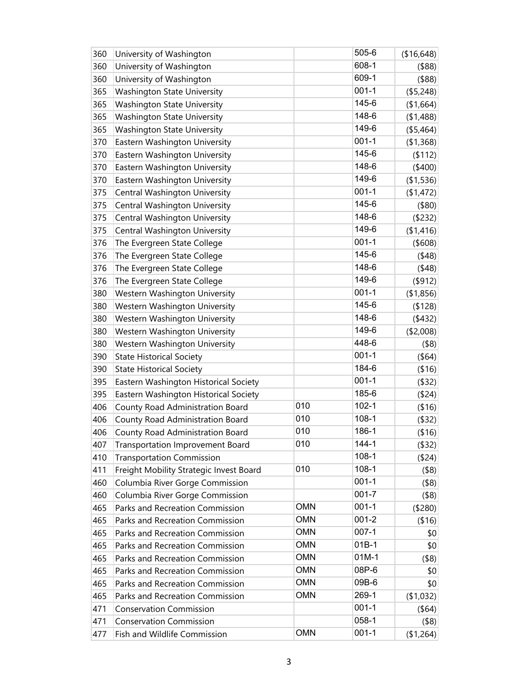| 360 | University of Washington                |            | 505-6     | (\$16,648) |
|-----|-----------------------------------------|------------|-----------|------------|
| 360 | University of Washington                |            | 608-1     | $($ \$88)  |
| 360 | University of Washington                |            | 609-1     | $($ \$88)  |
| 365 | <b>Washington State University</b>      |            | $001 - 1$ | (\$5,248)  |
| 365 | <b>Washington State University</b>      |            | 145-6     | (\$1,664)  |
| 365 | <b>Washington State University</b>      |            | 148-6     | (\$1,488)  |
| 365 | <b>Washington State University</b>      |            | 149-6     | (\$5,464)  |
| 370 | Eastern Washington University           |            | $001 - 1$ | (\$1,368)  |
| 370 | Eastern Washington University           |            | 145-6     | (112)      |
| 370 | Eastern Washington University           |            | 148-6     | (\$400)    |
| 370 | Eastern Washington University           |            | 149-6     | (\$1,536)  |
| 375 | Central Washington University           |            | $001 - 1$ | (\$1,472)  |
| 375 | Central Washington University           |            | 145-6     | (\$80)     |
| 375 | Central Washington University           |            | 148-6     | (\$232)    |
| 375 | Central Washington University           |            | 149-6     | (\$1,416)  |
| 376 | The Evergreen State College             |            | $001 - 1$ | (\$608)    |
| 376 | The Evergreen State College             |            | 145-6     | (48)       |
| 376 | The Evergreen State College             |            | 148-6     | (48)       |
| 376 | The Evergreen State College             |            | 149-6     | (\$912)    |
| 380 | Western Washington University           |            | $001 - 1$ | (\$1,856)  |
| 380 | Western Washington University           |            | 145-6     | (\$128)    |
| 380 | Western Washington University           |            | 148-6     | (432)      |
| 380 | Western Washington University           |            | 149-6     | (\$2,008)  |
| 380 | Western Washington University           |            | 448-6     | (\$8)      |
| 390 | <b>State Historical Society</b>         |            | $001 - 1$ | (\$64)     |
| 390 | <b>State Historical Society</b>         |            | 184-6     | (\$16)     |
| 395 | Eastern Washington Historical Society   |            | $001 - 1$ | (\$32)     |
| 395 | Eastern Washington Historical Society   |            | 185-6     | (\$24)     |
| 406 | County Road Administration Board        | 010        | $102 - 1$ | (\$16)     |
| 406 | County Road Administration Board        | 010        | $108-1$   | (\$32)     |
| 406 | County Road Administration Board        | 010        | 186-1     | ( \$16)    |
| 407 | <b>Transportation Improvement Board</b> | 010        | $144 - 1$ | (\$32)     |
| 410 | <b>Transportation Commission</b>        |            | $108 - 1$ | ( \$24)    |
| 411 | Freight Mobility Strategic Invest Board | 010        | $108-1$   | $($ \$8)   |
| 460 | Columbia River Gorge Commission         |            | $001 - 1$ | $($ \$8)   |
| 460 | Columbia River Gorge Commission         |            | $001 - 7$ | $($ \$8)   |
| 465 | Parks and Recreation Commission         | <b>OMN</b> | $001 - 1$ | (\$280)    |
| 465 | Parks and Recreation Commission         | <b>OMN</b> | $001 - 2$ | (\$16)     |
| 465 | Parks and Recreation Commission         | <b>OMN</b> | $007 - 1$ | \$0        |
| 465 | Parks and Recreation Commission         | <b>OMN</b> | $01B-1$   | \$0        |
| 465 | Parks and Recreation Commission         | <b>OMN</b> | $01M-1$   | $($ \$8)   |
| 465 | Parks and Recreation Commission         | <b>OMN</b> | 08P-6     | \$0        |
| 465 | Parks and Recreation Commission         | <b>OMN</b> | 09B-6     | \$0        |
| 465 | Parks and Recreation Commission         | <b>OMN</b> | 269-1     | (\$1,032)  |
| 471 | <b>Conservation Commission</b>          |            | $001 - 1$ | $($ \$64)  |
| 471 | <b>Conservation Commission</b>          |            | $058 - 1$ | $($ \$8)   |
| 477 | Fish and Wildlife Commission            | <b>OMN</b> | $001 - 1$ | (\$1,264)  |